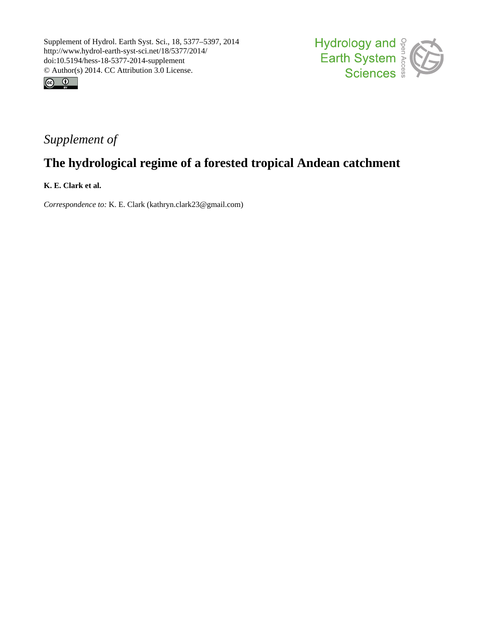



# *Supplement of*

# **The hydrological regime of a forested tropical Andean catchment**

**K. E. Clark et al.**

*Correspondence to:* K. E. Clark (kathryn.clark23@gmail.com)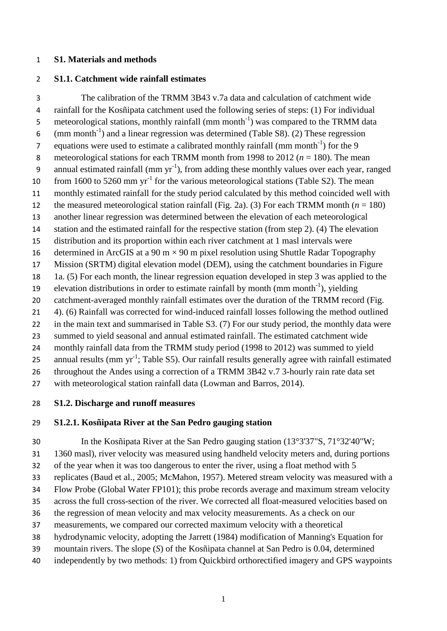#### **S1. Materials and methods**

### **S1.1. Catchment wide rainfall estimates**

 The calibration of the TRMM 3B43 v.7a data and calculation of catchment wide rainfall for the Kosñipata catchment used the following series of steps: (1) For individual 5 meteorological stations, monthly rainfall  $(nm \, month^{-1})$  was compared to the TRMM data 6 (mm month<sup>-1</sup>) and a linear regression was determined (Table S8). (2) These regression 7 equations were used to estimate a calibrated monthly rainfall (mm month<sup>-1</sup>) for the 9 meteorological stations for each TRMM month from 1998 to 2012 (*n* = 180). The mean 9 annual estimated rainfall (mm  $yr^{-1}$ ), from adding these monthly values over each year, ranged 10 from 1600 to 5260 mm  $yr^{-1}$  for the various meteorological stations (Table S2). The mean monthly estimated rainfall for the study period calculated by this method coincided well with 12 the measured meteorological station rainfall (Fig. 2a). (3) For each TRMM month  $(n = 180)$  another linear regression was determined between the elevation of each meteorological station and the estimated rainfall for the respective station (from step 2). (4) The elevation distribution and its proportion within each river catchment at 1 masl intervals were 16 determined in ArcGIS at a 90 m  $\times$  90 m pixel resolution using Shuttle Radar Topography Mission (SRTM) digital elevation model (DEM), using the catchment boundaries in Figure 1a. (5) For each month, the linear regression equation developed in step 3 was applied to the 19 elevation distributions in order to estimate rainfall by month  $(mm m<sub>1</sub>)$ , yielding 20 catchment-averaged monthly rainfall estimates over the duration of the TRMM record (Fig. 4). (6) Rainfall was corrected for wind-induced rainfall losses following the method outlined 22 in the main text and summarised in Table S3. (7) For our study period, the monthly data were summed to yield seasonal and annual estimated rainfall. The estimated catchment wide monthly rainfall data from the TRMM study period (1998 to 2012) was summed to yield 25 annual results (mm  $yr^{-1}$ ; Table S5). Our rainfall results generally agree with rainfall estimated throughout the Andes using a correction of a TRMM 3B42 v.7 3-hourly rain rate data set with meteorological station rainfall data [\(Lowman and Barros, 2014\)](#page-10-0).

**S1.2. Discharge and runoff measures**

### **S1.2.1. Kosñipata River at the San Pedro gauging station**

 In the Kosñipata River at the San Pedro gauging station (13°3'37"S, 71°32'40"W; 1360 masl), river velocity was measured using handheld velocity meters and, during portions of the year when it was too dangerous to enter the river, using a float method with 5 replicates [\(Baud et al., 2005;](#page-9-0) [McMahon, 1957\)](#page-10-1). Metered stream velocity was measured with a Flow Probe (Global Water FP101); this probe records average and maximum stream velocity across the full cross-section of the river. We corrected all float-measured velocities based on the regression of mean velocity and max velocity measurements. As a check on our measurements, we compared our corrected maximum velocity with a theoretical hydrodynamic velocity, adopting the [Jarrett \(1984\)](#page-10-2) modification of Manning's Equation for mountain rivers. The slope (*S*) of the Kosñipata channel at San Pedro is 0.04, determined independently by two methods: 1) from Quickbird orthorectified imagery and GPS waypoints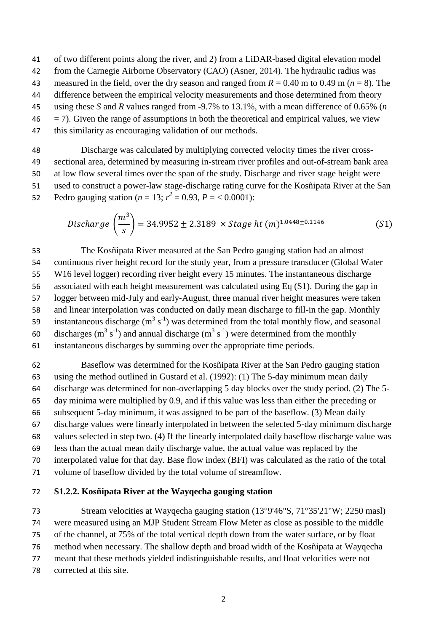- of two different points along the river, and 2) from a LiDAR-based digital elevation model
- from the Carnegie Airborne Observatory (CAO) [\(Asner, 2014\)](#page-9-1). The hydraulic radius was
- measured in the field, over the dry season and ranged from *R* = 0.40 m to 0.49 m (*n* = 8). The
- difference between the empirical velocity measurements and those determined from theory
- using these *S* and *R* values ranged from -9.7% to 13.1%, with a mean difference of 0.65% (*n*
- $46 = 7$ . Given the range of assumptions in both the theoretical and empirical values, we view
- this similarity as encouraging validation of our methods.

 Discharge was calculated by multiplying corrected velocity times the river cross- sectional area, determined by measuring in-stream river profiles and out-of-stream bank area at low flow several times over the span of the study. Discharge and river stage height were used to construct a power-law stage-discharge rating curve for the Kosñipata River at the San 52 Pedro gauging station (*n* = 13;  $r^2$  = 0.93, *P* = < 0.0001):

$$
Discharge\left(\frac{m^3}{s}\right) = 34.9952 \pm 2.3189 \times Stage\ ht(m)^{1.0448 \pm 0.1146}
$$
 (S1)

 The Kosñipata River measured at the San Pedro gauging station had an almost continuous river height record for the study year, from a pressure transducer (Global Water W16 level logger) recording river height every 15 minutes. The instantaneous discharge associated with each height measurement was calculated using Eq (S1). During the gap in logger between mid-July and early-August, three manual river height measures were taken and linear interpolation was conducted on daily mean discharge to fill-in the gap. Monthly 59 instantaneous discharge  $(m^3 s^{-1})$  was determined from the total monthly flow, and seasonal 60 discharges (m<sup>3</sup> s<sup>-1</sup>) and annual discharge (m<sup>3</sup> s<sup>-1</sup>) were determined from the monthly instantaneous discharges by summing over the appropriate time periods.

 Baseflow was determined for the Kosñipata River at the San Pedro gauging station using the method outlined in [Gustard et al. \(1992\)](#page-9-2): (1) The 5-day minimum mean daily discharge was determined for non-overlapping 5 day blocks over the study period. (2) The 5- day minima were multiplied by 0.9, and if this value was less than either the preceding or subsequent 5-day minimum, it was assigned to be part of the baseflow. (3) Mean daily discharge values were linearly interpolated in between the selected 5-day minimum discharge values selected in step two. (4) If the linearly interpolated daily baseflow discharge value was less than the actual mean daily discharge value, the actual value was replaced by the interpolated value for that day. Base flow index (BFI) was calculated as the ratio of the total volume of baseflow divided by the total volume of streamflow.

### **S1.2.2. Kosñipata River at the Wayqecha gauging station**

 Stream velocities at Wayqecha gauging station (13°9'46"S, 71°35'21"W; 2250 masl) were measured using an MJP Student Stream Flow Meter as close as possible to the middle of the channel, at 75% of the total vertical depth down from the water surface, or by float method when necessary. The shallow depth and broad width of the Kosñipata at Wayqecha meant that these methods yielded indistinguishable results, and float velocities were not corrected at this site.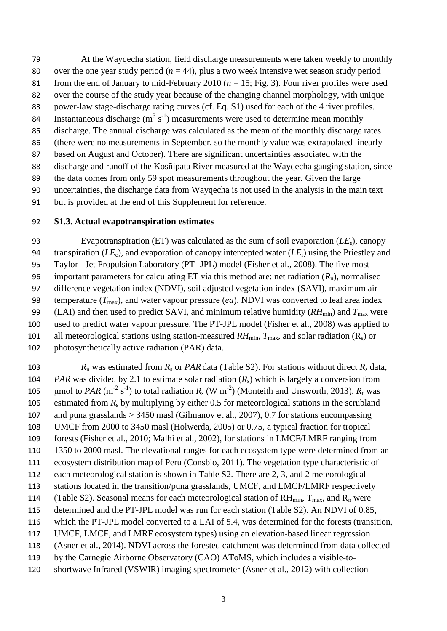At the Wayqecha station, field discharge measurements were taken weekly to monthly 80 over the one year study period  $(n = 44)$ , plus a two week intensive wet season study period 81 from the end of January to mid-February 2010 ( $n = 15$ ; Fig. 3). Four river profiles were used over the course of the study year because of the changing channel morphology, with unique power-law stage-discharge rating curves (cf. Eq. S1) used for each of the 4 river profiles. 84 Instantaneous discharge  $(m^3 s^{-1})$  measurements were used to determine mean monthly discharge. The annual discharge was calculated as the mean of the monthly discharge rates (there were no measurements in September, so the monthly value was extrapolated linearly based on August and October). There are significant uncertainties associated with the discharge and runoff of the Kosñipata River measured at the Wayqecha gauging station, since the data comes from only 59 spot measurements throughout the year. Given the large uncertainties, the discharge data from Wayqecha is not used in the analysis in the main text but is provided at the end of this Supplement for reference.

### **S1.3. Actual evapotranspiration estimates**

 Evapotranspiration (ET) was calculated as the sum of soil evaporation (*LE*s), canopy transpiration (*LE*c), and evaporation of canopy intercepted water (*LE*i) using the Priestley and Taylor - Jet Propulsion Laboratory (PT- JPL) model [\(Fisher et al., 2008\)](#page-9-3). The five most 96 important parameters for calculating ET via this method are: net radiation  $(R_n)$ , normalised difference vegetation index (NDVI), soil adjusted vegetation index (SAVI), maximum air 98 temperature  $(T_{\text{max}})$ , and water vapour pressure *(ea*). NDVI was converted to leaf area index 99 (LAI) and then used to predict SAVI, and minimum relative humidity  $(RH<sub>min</sub>)$  and  $T<sub>max</sub>$  were used to predict water vapour pressure. The PT-JPL model [\(Fisher et al., 2008\)](#page-9-3) was applied to 101 all meteorological stations using station-measured  $RH_{min}$ ,  $T_{max}$ , and solar radiation (R<sub>s</sub>) or photosynthetically active radiation (PAR) data.

*R*<sub>n</sub> was estimated from  $R_s$  or *PAR* data (Table S2). For stations without direct  $R_s$  data, *PAR* was divided by 2.1 to estimate solar radiation (*R*s) which is largely a conversion from  $\mu$ mol to *PAR* (m<sup>-2</sup> s<sup>-1</sup>) to total radiation *R*<sub>s</sub> (W m<sup>-2</sup>) [\(Monteith and Unsworth, 2013\)](#page-10-3). *R*<sub>n</sub> was 106 estimated from  $R_s$  by multiplying by either 0.5 for meteorological stations in the scrubland and puna grasslands > 3450 masl [\(Gilmanov et al., 2007\)](#page-9-4), 0.7 for stations encompassing UMCF from 2000 to 3450 masl [\(Holwerda, 2005\)](#page-10-4) or 0.75, a typical fraction for tropical forests [\(Fisher et al., 2010;](#page-9-5) [Malhi et al., 2002\)](#page-10-5), for stations in LMCF/LMRF ranging from 1350 to 2000 masl. The elevational ranges for each ecosystem type were determined from an ecosystem distribution map of Peru [\(Consbio, 2011\)](#page-9-6). The vegetation type characteristic of each meteorological station is shown in Table S2. There are 2, 3, and 2 meteorological stations located in the transition/puna grasslands, UMCF, and LMCF/LMRF respectively 114 (Table S2). Seasonal means for each meteorological station of  $RH_{min}$ ,  $T_{max}$ , and  $R_n$  were determined and the PT-JPL model was run for each station (Table S2). An NDVI of 0.85, which the PT-JPL model converted to a LAI of 5.4, was determined for the forests (transition, UMCF, LMCF, and LMRF ecosystem types) using an elevation-based linear regression [\(Asner et al., 2014\)](#page-9-7). NDVI across the forested catchment was determined from data collected by the Carnegie Airborne Observatory (CAO) AToMS, which includes a visible-to-shortwave Infrared (VSWIR) imaging spectrometer [\(Asner et al., 2012\)](#page-9-8) with collection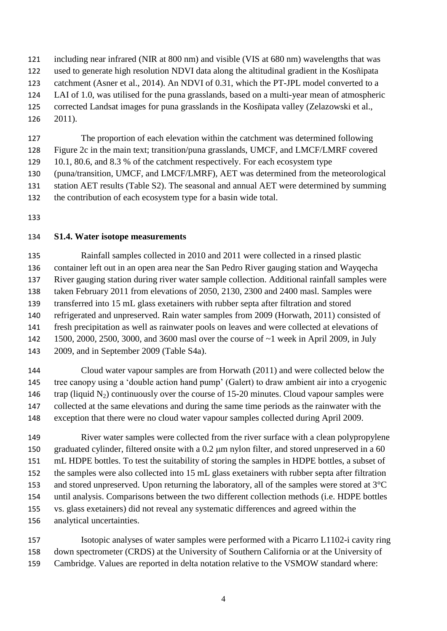including near infrared (NIR at 800 nm) and visible (VIS at 680 nm) wavelengths that was

- used to generate high resolution NDVI data along the altitudinal gradient in the Kosñipata
- catchment [\(Asner et al., 2014\)](#page-9-7). An NDVI of 0.31, which the PT-JPL model converted to a
- LAI of 1.0, was utilised for the puna grasslands, based on a multi-year mean of atmospheric
- corrected Landsat images for puna grasslands in the Kosñipata valley [\(Zelazowski et al.,](#page-11-0)
- [2011\)](#page-11-0).

The proportion of each elevation within the catchment was determined following

- Figure 2c in the main text; transition/puna grasslands, UMCF, and LMCF/LMRF covered
- 10.1, 80.6, and 8.3 % of the catchment respectively. For each ecosystem type
- (puna/transition, UMCF, and LMCF/LMRF), AET was determined from the meteorological
- station AET results (Table S2). The seasonal and annual AET were determined by summing
- the contribution of each ecosystem type for a basin wide total.
- 

## **S1.4. Water isotope measurements**

 Rainfall samples collected in 2010 and 2011 were collected in a rinsed plastic container left out in an open area near the San Pedro River gauging station and Wayqecha River gauging station during river water sample collection. Additional rainfall samples were taken February 2011 from elevations of 2050, 2130, 2300 and 2400 masl. Samples were transferred into 15 mL glass exetainers with rubber septa after filtration and stored refrigerated and unpreserved. Rain water samples from 2009 [\(Horwath, 2011\)](#page-10-6) consisted of fresh precipitation as well as rainwater pools on leaves and were collected at elevations of 1500, 2000, 2500, 3000, and 3600 masl over the course of ~1 week in April 2009, in July 2009, and in September 2009 (Table S4a).

 Cloud water vapour samples are from [Horwath \(2011\)](#page-10-6) and were collected below the tree canopy using a 'double action hand pump' (Galert) to draw ambient air into a cryogenic 146 trap (liquid  $N_2$ ) continuously over the course of 15-20 minutes. Cloud vapour samples were collected at the same elevations and during the same time periods as the rainwater with the exception that there were no cloud water vapour samples collected during April 2009.

 River water samples were collected from the river surface with a clean polypropylene graduated cylinder, filtered onsite with a 0.2 μm nylon filter, and stored unpreserved in a 60 mL HDPE bottles. To test the suitability of storing the samples in HDPE bottles, a subset of the samples were also collected into 15 mL glass exetainers with rubber septa after filtration and stored unpreserved. Upon returning the laboratory, all of the samples were stored at 3°C until analysis. Comparisons between the two different collection methods (i.e. HDPE bottles vs. glass exetainers) did not reveal any systematic differences and agreed within the analytical uncertainties.

 Isotopic analyses of water samples were performed with a Picarro L1102-i cavity ring down spectrometer (CRDS) at the University of Southern California or at the University of Cambridge. Values are reported in delta notation relative to the VSMOW standard where: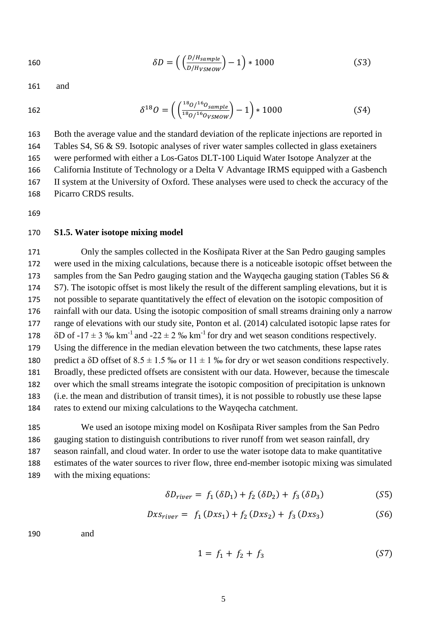$$
\delta D = \left( \left( \frac{D/H_{sample}}{D/H_{VSMOW}} \right) - 1 \right) * 1000 \tag{S3}
$$

161 and

$$
162\\
$$

162 
$$
\delta^{18}O = \left(\left(\frac{^{18}O}{^{18}O}{^{16}O_{VSMOW}}\right) - 1\right) * 1000
$$
 (S4)

 Both the average value and the standard deviation of the replicate injections are reported in Tables S4, S6 & S9. Isotopic analyses of river water samples collected in glass exetainers were performed with either a Los-Gatos DLT-100 Liquid Water Isotope Analyzer at the California Institute of Technology or a Delta V Advantage IRMS equipped with a Gasbench II system at the University of Oxford. These analyses were used to check the accuracy of the Picarro CRDS results.

169

#### 170 **S1.5. Water isotope mixing model**

 Only the samples collected in the Kosñipata River at the San Pedro gauging samples were used in the mixing calculations, because there is a noticeable isotopic offset between the 173 samples from the San Pedro gauging station and the Wayqecha gauging station (Tables S6 & S7). The isotopic offset is most likely the result of the different sampling elevations, but it is not possible to separate quantitatively the effect of elevation on the isotopic composition of rainfall with our data. Using the isotopic composition of small streams draining only a narrow range of elevations with our study site, [Ponton et al. \(2014\)](#page-10-7) calculated isotopic lapse rates for  $\delta$ D of -17  $\pm$  3 ‰ km<sup>-1</sup> and -22  $\pm$  2 ‰ km<sup>-1</sup> for dry and wet season conditions respectively. Using the difference in the median elevation between the two catchments, these lapse rates 180 predict a  $\delta D$  offset of  $8.5 \pm 1.5$  ‰ or  $11 \pm 1$  ‰ for dry or wet season conditions respectively. Broadly, these predicted offsets are consistent with our data. However, because the timescale over which the small streams integrate the isotopic composition of precipitation is unknown (i.e. the mean and distribution of transit times), it is not possible to robustly use these lapse rates to extend our mixing calculations to the Wayqecha catchment.

 We used an isotope mixing model on Kosñipata River samples from the San Pedro gauging station to distinguish contributions to river runoff from wet season rainfall, dry season rainfall, and cloud water. In order to use the water isotope data to make quantitative estimates of the water sources to river flow, three end-member isotopic mixing was simulated with the mixing equations:

$$
\delta D_{river} = f_1 \left( \delta D_1 \right) + f_2 \left( \delta D_2 \right) + f_3 \left( \delta D_3 \right) \tag{S5}
$$

$$
Dx s_{river} = f_1(Dx s_1) + f_2(Dx s_2) + f_3(Dx s_3)
$$
 (S6)

190 and

$$
1 = f_1 + f_2 + f_3 \tag{S7}
$$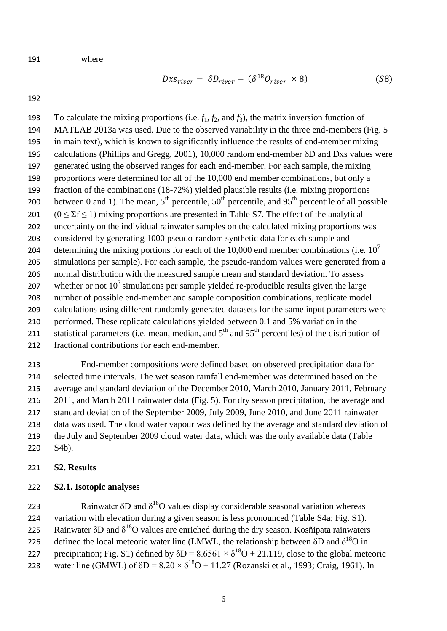$$
191\quad
$$

where

$$
Dx_{river} = \delta D_{river} - (\delta^{18} O_{river} \times 8)
$$
 (S8)

193 To calculate the mixing proportions (i.e.  $f_1$ ,  $f_2$ , and  $f_3$ ), the matrix inversion function of MATLAB 2013a was used. Due to the observed variability in the three end-members (Fig. 5 in main text), which is known to significantly influence the results of end-member mixing 196 calculations [\(Phillips and Gregg, 2001\)](#page-10-8), 10,000 random end-member  $\delta D$  and Dxs values were generated using the observed ranges for each end-member. For each sample, the mixing proportions were determined for all of the 10,000 end member combinations, but only a fraction of the combinations (18-72%) yielded plausible results (i.e. mixing proportions 200 between 0 and 1). The mean,  $5<sup>th</sup>$  percentile,  $50<sup>th</sup>$  percentile, and  $95<sup>th</sup>$  percentile of all possible  $(0 \le \Sigma f \le 1)$  mixing proportions are presented in Table S7. The effect of the analytical uncertainty on the individual rainwater samples on the calculated mixing proportions was considered by generating 1000 pseudo-random synthetic data for each sample and determining the mixing portions for each of the 10,000 end member combinations (i.e.  $10<sup>7</sup>$  simulations per sample). For each sample, the pseudo-random values were generated from a normal distribution with the measured sample mean and standard deviation. To assess 207 whether or not  $10^7$  simulations per sample vielded re-producible results given the large number of possible end-member and sample composition combinations, replicate model calculations using different randomly generated datasets for the same input parameters were performed. These replicate calculations yielded between 0.1 and 5% variation in the 211 statistical parameters (i.e. mean, median, and  $5<sup>th</sup>$  and  $95<sup>th</sup>$  percentiles) of the distribution of fractional contributions for each end-member.

 End-member compositions were defined based on observed precipitation data for selected time intervals. The wet season rainfall end-member was determined based on the average and standard deviation of the December 2010, March 2010, January 2011, February 2011, and March 2011 rainwater data (Fig. 5). For dry season precipitation, the average and standard deviation of the September 2009, July 2009, June 2010, and June 2011 rainwater data was used. The cloud water vapour was defined by the average and standard deviation of the July and September 2009 cloud water data, which was the only available data (Table S4b).

#### **S2. Results**

#### **S2.1. Isotopic analyses**

223 Rainwater  $\delta D$  and  $\delta^{18}O$  values display considerable seasonal variation whereas variation with elevation during a given season is less pronounced (Table S4a; Fig. S1). 225 Rainwater  $\delta$ D and  $\delta$ <sup>18</sup>O values are enriched during the dry season. Kosñipata rainwaters 226 defined the local meteoric water line (LMWL, the relationship between δD and  $δ^{18}$ O in precipitation; Fig. S1) defined by  $\delta D = 8.6561 \times \delta^{18}O + 21.119$ , close to the global meteoric 228 water line (GMWL) of  $\delta D = 8.20 \times \delta^{18}O + 11.27$  [\(Rozanski et al., 1993;](#page-11-1) [Craig, 1961\)](#page-9-9). In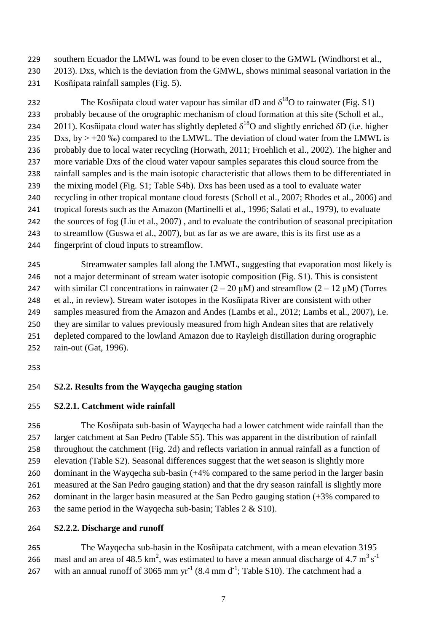229 southern Ecuador the LMWL was found to be even closer to the GMWL (Windhorst et al., [2013\)](#page-11-2). Dxs, which is the deviation from the GMWL, shows minimal seasonal variation in the

Kosñipata rainfall samples (Fig. 5).

232 The Kosñipata cloud water vapour has similar dD and  $\delta^{18}O$  to rainwater (Fig. S1) probably because of the orographic mechanism of cloud formation at this site [\(Scholl et al.,](#page-11-3)  [2011\)](#page-11-3). Kosñipata cloud water has slightly depleted  $\delta^{18}O$  and slightly enriched  $\delta D$  (i.e. higher 235 Dxs, by  $> +20\%$ ) compared to the LMWL. The deviation of cloud water from the LMWL is probably due to local water recycling [\(Horwath, 2011;](#page-10-6) [Froehlich et al., 2002\)](#page-9-10). The higher and more variable Dxs of the cloud water vapour samples separates this cloud source from the rainfall samples and is the main isotopic characteristic that allows them to be differentiated in the mixing model (Fig. S1; Table S4b). Dxs has been used as a tool to evaluate water recycling in other tropical montane cloud forests [\(Scholl et al., 2007;](#page-11-4) [Rhodes et al., 2006\)](#page-11-5) and tropical forests such as the Amazon [\(Martinelli et al., 1996;](#page-10-9) [Salati et al., 1979\)](#page-11-6), to evaluate the sources of fog [\(Liu et al., 2007\)](#page-10-10) , and to evaluate the contribution of seasonal precipitation to streamflow [\(Guswa et al., 2007\)](#page-10-11), but as far as we are aware, this is its first use as a fingerprint of cloud inputs to streamflow.

 Streamwater samples fall along the LMWL, suggesting that evaporation most likely is not a major determinant of stream water isotopic composition (Fig. S1). This is consistent 247 with similar Cl concentrations in rainwater  $(2 – 20 \mu M)$  and streamflow  $(2 – 12 \mu M)$  (Torres [et al., in review\)](#page-11-7). Stream water isotopes in the Kosñipata River are consistent with other samples measured from the Amazon and Andes [\(Lambs et al., 2012;](#page-10-12) [Lambs et al., 2007\)](#page-10-13), i.e. they are similar to values previously measured from high Andean sites that are relatively depleted compared to the lowland Amazon due to Rayleigh distillation during orographic rain-out [\(Gat, 1996\)](#page-9-11).

## **S2.2. Results from the Wayqecha gauging station**

**S2.2.1. Catchment wide rainfall**

 The Kosñipata sub-basin of Wayqecha had a lower catchment wide rainfall than the larger catchment at San Pedro (Table S5). This was apparent in the distribution of rainfall throughout the catchment (Fig. 2d) and reflects variation in annual rainfall as a function of elevation (Table S2). Seasonal differences suggest that the wet season is slightly more dominant in the Wayqecha sub-basin (+4% compared to the same period in the larger basin measured at the San Pedro gauging station) and that the dry season rainfall is slightly more dominant in the larger basin measured at the San Pedro gauging station (+3% compared to 263 the same period in the Wayqecha sub-basin; Tables  $2 \&$  S10).

## **S2.2.2. Discharge and runoff**

 The Wayqecha sub-basin in the Kosñipata catchment, with a mean elevation 3195 masl and an area of 48.5 km<sup>2</sup>, was estimated to have a mean annual discharge of 4.7 m<sup>3</sup> s<sup>-1</sup> 267 with an annual runoff of 3065 mm  $yr^{-1}$  (8.4 mm  $d^{-1}$ ; Table S10). The catchment had a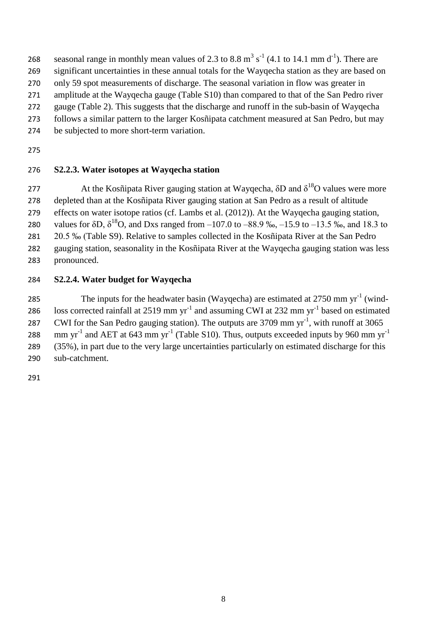- 268 seasonal range in monthly mean values of 2.3 to 8.8  $\text{m}^3$  s<sup>-1</sup> (4.1 to 14.1 mm d<sup>-1</sup>). There are
- significant uncertainties in these annual totals for the Wayqecha station as they are based on
- only 59 spot measurements of discharge. The seasonal variation in flow was greater in

amplitude at the Wayqecha gauge (Table S10) than compared to that of the San Pedro river

- gauge (Table 2). This suggests that the discharge and runoff in the sub-basin of Wayqecha
- follows a similar pattern to the larger Kosñipata catchment measured at San Pedro, but may
- be subjected to more short-term variation.
- 

## **S2.2.3. Water isotopes at Wayqecha station**

277 At the Kosñipata River gauging station at Wayqecha,  $\delta D$  and  $\delta^{18}O$  values were more depleted than at the Kosñipata River gauging station at San Pedro as a result of altitude effects on water isotope ratios (cf. [Lambs et al. \(2012\)](#page-10-12)). At the Wayqecha gauging station, 280 values for  $\delta D$ ,  $\delta^{18}O$ , and Dxs ranged from  $-107.0$  to  $-88.9$  ‰,  $-15.9$  to  $-13.5$  ‰, and 18.3 to 20.5 ‰ (Table S9). Relative to samples collected in the Kosñipata River at the San Pedro gauging station, seasonality in the Kosñipata River at the Wayqecha gauging station was less

pronounced.

## **S2.2.4. Water budget for Wayqecha**

285 The inputs for the headwater basin (Wayqecha) are estimated at mm yr<sup>-1</sup> (wind-286 loss corrected rainfall at 2519 mm  $yr^{-1}$  and assuming CWI at 232 mm  $yr^{-1}$  based on estimated 287 CWI for the San Pedro gauging station). The outputs are mm yr<sup>-1</sup>, with runoff at  $3065$ mm yr<sup>-1</sup> and AET at 643 mm yr<sup>-1</sup> (Table S10). Thus, outputs exceeded inputs by 960 mm yr<sup>-1</sup> (35%), in part due to the very large uncertainties particularly on estimated discharge for this

sub-catchment.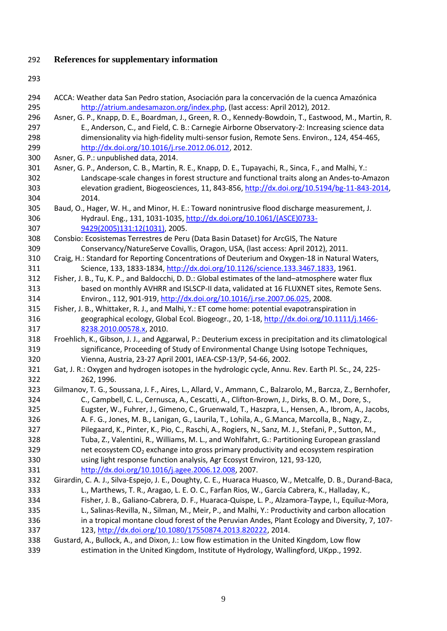# <span id="page-9-13"></span>**References for supplementary information**

<span id="page-9-16"></span><span id="page-9-15"></span><span id="page-9-14"></span><span id="page-9-12"></span><span id="page-9-11"></span><span id="page-9-10"></span><span id="page-9-9"></span><span id="page-9-8"></span><span id="page-9-7"></span><span id="page-9-6"></span><span id="page-9-5"></span><span id="page-9-4"></span><span id="page-9-3"></span><span id="page-9-2"></span><span id="page-9-1"></span><span id="page-9-0"></span>

| 294 | ACCA: Weather data San Pedro station, Asociación para la concervación de la cuenca Amazónica               |
|-----|------------------------------------------------------------------------------------------------------------|
| 295 | http://atrium.andesamazon.org/index.php, (last access: April 2012), 2012.                                  |
| 296 | Asner, G. P., Knapp, D. E., Boardman, J., Green, R. O., Kennedy-Bowdoin, T., Eastwood, M., Martin, R.      |
| 297 | E., Anderson, C., and Field, C. B.: Carnegie Airborne Observatory-2: Increasing science data               |
| 298 | dimensionality via high-fidelity multi-sensor fusion, Remote Sens. Environ., 124, 454-465,                 |
| 299 | http://dx.doi.org/10.1016/j.rse.2012.06.012, 2012.                                                         |
| 300 | Asner, G. P.: unpublished data, 2014.                                                                      |
| 301 | Asner, G. P., Anderson, C. B., Martin, R. E., Knapp, D. E., Tupayachi, R., Sinca, F., and Malhi, Y.:       |
| 302 | Landscape-scale changes in forest structure and functional traits along an Andes-to-Amazon                 |
| 303 | elevation gradient, Biogeosciences, 11, 843-856, http://dx.doi.org/10.5194/bg-11-843-2014,                 |
| 304 | 2014.                                                                                                      |
| 305 | Baud, O., Hager, W. H., and Minor, H. E.: Toward nonintrusive flood discharge measurement, J.              |
| 306 | Hydraul. Eng., 131, 1031-1035, http://dx.doi.org/10.1061/(ASCE)0733-                                       |
| 307 | 9429(2005)131:12(1031), 2005.                                                                              |
| 308 | Consbio: Ecosistemas Terrestres de Peru (Data Basin Dataset) for ArcGIS, The Nature                        |
| 309 | Conservancy/NatureServe Covallis, Oragon, USA, (last access: April 2012), 2011.                            |
| 310 | Craig, H.: Standard for Reporting Concentrations of Deuterium and Oxygen-18 in Natural Waters,             |
| 311 | Science, 133, 1833-1834, http://dx.doi.org/10.1126/science.133.3467.1833, 1961.                            |
| 312 | Fisher, J. B., Tu, K. P., and Baldocchi, D. D.: Global estimates of the land-atmosphere water flux         |
| 313 | based on monthly AVHRR and ISLSCP-II data, validated at 16 FLUXNET sites, Remote Sens.                     |
| 314 | Environ., 112, 901-919, http://dx.doi.org/10.1016/j.rse.2007.06.025, 2008.                                 |
| 315 | Fisher, J. B., Whittaker, R. J., and Malhi, Y.: ET come home: potential evapotranspiration in              |
| 316 | geographical ecology, Global Ecol. Biogeogr., 20, 1-18, http://dx.doi.org/10.1111/j.1466-                  |
| 317 | 8238.2010.00578.x, 2010.                                                                                   |
| 318 | Froehlich, K., Gibson, J. J., and Aggarwal, P.: Deuterium excess in precipitation and its climatological   |
| 319 | significance, Proceeding of Study of Environmental Change Using Isotope Techniques,                        |
| 320 | Vienna, Austria, 23-27 April 2001, IAEA-CSP-13/P, 54-66, 2002.                                             |
| 321 | Gat, J. R.: Oxygen and hydrogen isotopes in the hydrologic cycle, Annu. Rev. Earth Pl. Sc., 24, 225-       |
| 322 | 262, 1996.                                                                                                 |
| 323 | Gilmanov, T. G., Soussana, J. F., Aires, L., Allard, V., Ammann, C., Balzarolo, M., Barcza, Z., Bernhofer, |
| 324 | C., Campbell, C. L., Cernusca, A., Cescatti, A., Clifton-Brown, J., Dirks, B. O. M., Dore, S.,             |
| 325 | Eugster, W., Fuhrer, J., Gimeno, C., Gruenwald, T., Haszpra, L., Hensen, A., Ibrom, A., Jacobs,            |
| 326 | A. F. G., Jones, M. B., Lanigan, G., Laurila, T., Lohila, A., G.Manca, Marcolla, B., Nagy, Z.,             |
| 327 | Pilegaard, K., Pinter, K., Pio, C., Raschi, A., Rogiers, N., Sanz, M. J., Stefani, P., Sutton, M.,         |
| 328 | Tuba, Z., Valentini, R., Williams, M. L., and Wohlfahrt, G.: Partitioning European grassland               |
| 329 | net ecosystem CO <sub>2</sub> exchange into gross primary productivity and ecosystem respiration           |
| 330 | using light response function analysis, Agr Ecosyst Environ, 121, 93-120,                                  |
| 331 | http://dx.doi.org/10.1016/j.agee.2006.12.008, 2007.                                                        |
| 332 | Girardin, C. A. J., Silva-Espejo, J. E., Doughty, C. E., Huaraca Huasco, W., Metcalfe, D. B., Durand-Baca, |
| 333 | L., Marthews, T. R., Aragao, L. E. O. C., Farfan Rios, W., García Cabrera, K., Halladay, K.,               |
| 334 | Fisher, J. B., Galiano-Cabrera, D. F., Huaraca-Quispe, L. P., Alzamora-Taype, I., Equiluz-Mora,            |
| 335 | L., Salinas-Revilla, N., Silman, M., Meir, P., and Malhi, Y.: Productivity and carbon allocation           |
| 336 | in a tropical montane cloud forest of the Peruvian Andes, Plant Ecology and Diversity, 7, 107-             |
| 337 | 123, http://dx.doi.org/10.1080/17550874.2013.820222, 2014.                                                 |
| 338 | Gustard, A., Bullock, A., and Dixon, J.: Low flow estimation in the United Kingdom, Low flow               |
| 339 | estimation in the United Kingdom, Institute of Hydrology, Wallingford, UKpp., 1992.                        |
|     |                                                                                                            |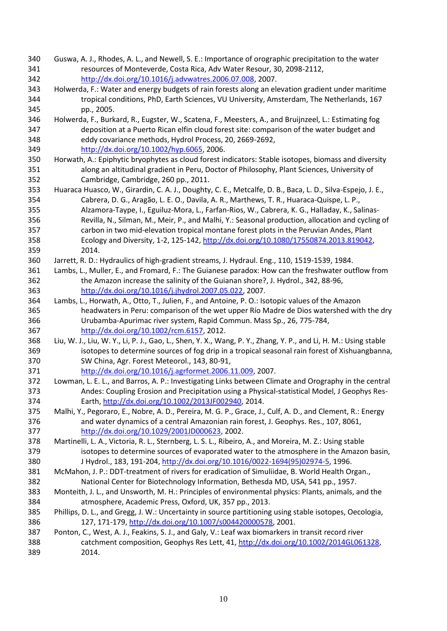- <span id="page-10-18"></span><span id="page-10-16"></span><span id="page-10-14"></span><span id="page-10-11"></span> Guswa, A. J., Rhodes, A. L., and Newell, S. E.: Importance of orographic precipitation to the water resources of Monteverde, Costa Rica, Adv Water Resour, 30, 2098-2112, [http://dx.doi.org/10.1016/j.advwatres.2006.07.008,](http://dx.doi.org/10.1016/j.advwatres.2006.07.008) 2007.
- <span id="page-10-4"></span> Holwerda, F.: Water and energy budgets of rain forests along an elevation gradient under maritime tropical conditions, PhD, Earth Sciences, VU University, Amsterdam, The Netherlands, 167 pp., 2005.
- Holwerda, F., Burkard, R., Eugster, W., Scatena, F., Meesters, A., and Bruijnzeel, L.: Estimating fog deposition at a Puerto Rican elfin cloud forest site: comparison of the water budget and eddy covariance methods, Hydrol Process, 20, 2669-2692, [http://dx.doi.org/10.1002/hyp.6065,](http://dx.doi.org/10.1002/hyp.6065) 2006.
- <span id="page-10-6"></span> Horwath, A.: Epiphytic bryophytes as cloud forest indicators: Stable isotopes, biomass and diversity along an altitudinal gradient in Peru, Doctor of Philosophy, Plant Sciences, University of Cambridge, Cambridge, 260 pp., 2011.
- Huaraca Huasco, W., Girardin, C. A. J., Doughty, C. E., Metcalfe, D. B., Baca, L. D., Silva-Espejo, J. E., Cabrera, D. G., Aragão, L. E. O., Davila, A. R., Marthews, T. R., Huaraca-Quispe, L. P., Alzamora-Taype, I., Eguiluz-Mora, L., Farfan-Rios, W., Cabrera, K. G., Halladay, K., Salinas- Revilla, N., Silman, M., Meir, P., and Malhi, Y.: Seasonal production, allocation and cycling of carbon in two mid-elevation tropical montane forest plots in the Peruvian Andes, Plant Ecology and Diversity, 1-2, 125-142, [http://dx.doi.org/10.1080/17550874.2013.819042,](http://dx.doi.org/10.1080/17550874.2013.819042) 2014.
- <span id="page-10-17"></span><span id="page-10-2"></span>Jarrett, R. D.: Hydraulics of high-gradient streams, J. Hydraul. Eng., 110, 1519-1539, 1984.
- <span id="page-10-13"></span> Lambs, L., Muller, E., and Fromard, F.: The Guianese paradox: How can the freshwater outflow from the Amazon increase the salinity of the Guianan shore?, J. Hydrol., 342, 88-96, [http://dx.doi.org/10.1016/j.jhydrol.2007.05.022,](http://dx.doi.org/10.1016/j.jhydrol.2007.05.022) 2007.
- <span id="page-10-15"></span><span id="page-10-12"></span> Lambs, L., Horwath, A., Otto, T., Julien, F., and Antoine, P. O.: Isotopic values of the Amazon headwaters in Peru: comparison of the wet upper Río Madre de Dios watershed with the dry Urubamba‐Apurimac river system, Rapid Commun. Mass Sp., 26, 775-784, [http://dx.doi.org/10.1002/rcm.6157,](http://dx.doi.org/10.1002/rcm.6157) 2012.
- <span id="page-10-10"></span> Liu, W. J., Liu, W. Y., Li, P. J., Gao, L., Shen, Y. X., Wang, P. Y., Zhang, Y. P., and Li, H. M.: Using stable isotopes to determine sources of fog drip in a tropical seasonal rain forest of Xishuangbanna, SW China, Agr. Forest Meteorol., 143, 80-91, [http://dx.doi.org/10.1016/j.agrformet.2006.11.009,](http://dx.doi.org/10.1016/j.agrformet.2006.11.009) 2007.
- <span id="page-10-0"></span> Lowman, L. E. L., and Barros, A. P.: Investigating Links between Climate and Orography in the central Andes: Coupling Erosion and Precipitation using a Physical‐statistical Model, J Geophys Res-Earth, [http://dx.doi.org/10.1002/2013JF002940,](http://dx.doi.org/10.1002/2013JF002940) 2014.
- <span id="page-10-5"></span> Malhi, Y., Pegoraro, E., Nobre, A. D., Pereira, M. G. P., Grace, J., Culf, A. D., and Clement, R.: Energy and water dynamics of a central Amazonian rain forest, J. Geophys. Res., 107, 8061, [http://dx.doi.org/10.1029/2001JD000623,](http://dx.doi.org/10.1029/2001JD000623) 2002.
- <span id="page-10-9"></span> Martinelli, L. A., Victoria, R. L., Sternberg, L. S. L., Ribeiro, A., and Moreira, M. Z.: Using stable isotopes to determine sources of evaporated water to the atmosphere in the Amazon basin, J Hydrol., 183, 191-204, [http://dx.doi.org/10.1016/0022-1694\(95\)02974-5,](http://dx.doi.org/10.1016/0022-1694(95)02974-5) 1996.
- <span id="page-10-1"></span> McMahon, J. P.: DDT-treatment of rivers for eradication of Simuliidae, B. World Health Organ., National Center for Biotechnology Information, Bethesda MD, USA, 541 pp., 1957.
- <span id="page-10-3"></span> Monteith, J. L., and Unsworth, M. H.: Principles of environmental physics: Plants, animals, and the atmosphere, Academic Press, Oxford, UK, 357 pp., 2013.
- <span id="page-10-8"></span> Phillips, D. L., and Gregg, J. W.: Uncertainty in source partitioning using stable isotopes, Oecologia, 127, 171-179, [http://dx.doi.org/10.1007/s004420000578,](http://dx.doi.org/10.1007/s004420000578) 2001.
- <span id="page-10-7"></span> Ponton, C., West, A. J., Feakins, S. J., and Galy, V.: Leaf wax biomarkers in transit record river 388 catchment composition, Geophys Res Lett, 41, [http://dx.doi.org/10.1002/2014GL061328,](http://dx.doi.org/10.1002/2014GL061328) 2014.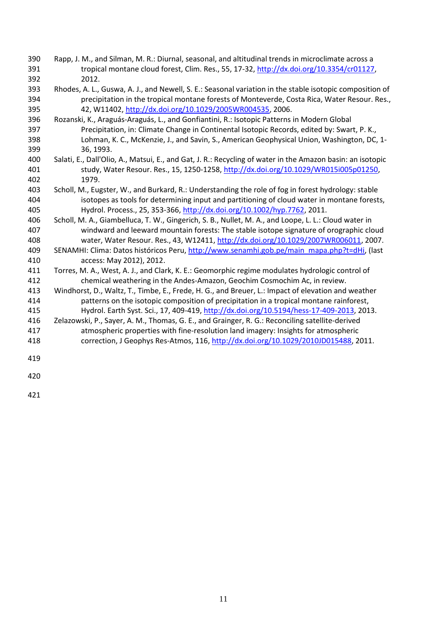- <span id="page-11-9"></span><span id="page-11-8"></span> Rapp, J. M., and Silman, M. R.: Diurnal, seasonal, and altitudinal trends in microclimate across a 391 tropical montane cloud forest, Clim. Res., 55, 17-32[, http://dx.doi.org/10.3354/cr01127,](http://dx.doi.org/10.3354/cr01127) 2012.
- <span id="page-11-5"></span> Rhodes, A. L., Guswa, A. J., and Newell, S. E.: Seasonal variation in the stable isotopic composition of precipitation in the tropical montane forests of Monteverde, Costa Rica, Water Resour. Res., 42, W11402, [http://dx.doi.org/10.1029/2005WR004535,](http://dx.doi.org/10.1029/2005WR004535) 2006.
- <span id="page-11-1"></span> Rozanski, K., Araguás-Araguás, L., and Gonfiantini, R.: Isotopic Patterns in Modern Global Precipitation, in: Climate Change in Continental Isotopic Records, edited by: Swart, P. K., Lohman, K. C., McKenzie, J., and Savin, S., American Geophysical Union, Washington, DC, 1- 36, 1993.
- <span id="page-11-6"></span> Salati, E., Dall'Olio, A., Matsui, E., and Gat, J. R.: Recycling of water in the Amazon basin: an isotopic study, Water Resour. Res., 15, 1250-1258, [http://dx.doi.org/10.1029/WR015i005p01250,](http://dx.doi.org/10.1029/WR015i005p01250) 1979.
- <span id="page-11-3"></span> Scholl, M., Eugster, W., and Burkard, R.: Understanding the role of fog in forest hydrology: stable isotopes as tools for determining input and partitioning of cloud water in montane forests, Hydrol. Process., 25, 353-366[, http://dx.doi.org/10.1002/hyp.7762,](http://dx.doi.org/10.1002/hyp.7762) 2011.
- <span id="page-11-4"></span> Scholl, M. A., Giambelluca, T. W., Gingerich, S. B., Nullet, M. A., and Loope, L. L.: Cloud water in windward and leeward mountain forests: The stable isotope signature of orographic cloud water, Water Resour. Res., 43, W12411, [http://dx.doi.org/10.1029/2007WR006011,](http://dx.doi.org/10.1029/2007WR006011) 2007.
- SENAMHI: Clima: Datos históricos Peru, [http://www.senamhi.gob.pe/main\\_mapa.php?t=dHi,](http://www.senamhi.gob.pe/main_mapa.php?t=dHi) (last access: May 2012), 2012.
- <span id="page-11-7"></span> Torres, M. A., West, A. J., and Clark, K. E.: Geomorphic regime modulates hydrologic control of chemical weathering in the Andes-Amazon, Geochim Cosmochim Ac, in review.
- <span id="page-11-2"></span> Windhorst, D., Waltz, T., Timbe, E., Frede, H. G., and Breuer, L.: Impact of elevation and weather patterns on the isotopic composition of precipitation in a tropical montane rainforest, Hydrol. Earth Syst. Sci., 17, 409-419[, http://dx.doi.org/10.5194/hess-17-409-2013,](http://dx.doi.org/10.5194/hess-17-409-2013) 2013.
- <span id="page-11-0"></span>416 Zelazowski, P., Sayer, A. M., Thomas, G. E., and Grainger, R. G.: Reconciling satellite-derived atmospheric properties with fine‐resolution land imagery: Insights for atmospheric
- correction, J Geophys Res-Atmos, 116, [http://dx.doi.org/10.1029/2010JD015488,](http://dx.doi.org/10.1029/2010JD015488) 2011.
-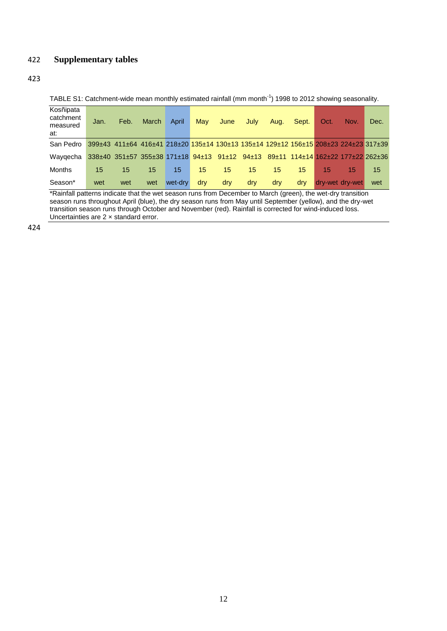### 422 **Supplementary tables**

#### 423

TABLE S1: Catchment-wide mean monthly estimated rainfall (mm month<sup>-1</sup>) 1998 to 2012 showing seasonality.

| Kosñipata<br>catchment<br>measured<br>at: | Jan. | Feb.                                                                                | March | April   | May | June | July | Aug. | Sept.                             | Oct/            | Nov. | Dec. |
|-------------------------------------------|------|-------------------------------------------------------------------------------------|-------|---------|-----|------|------|------|-----------------------------------|-----------------|------|------|
| San Pedro                                 |      | 399±43 411±64 416±41 218±20 135±14 130±13 135±14 129±12 156±15 208±23 224±23 317±39 |       |         |     |      |      |      |                                   |                 |      |      |
| Wavgecha                                  |      | $338\pm40$ $351\pm57$ $355\pm38$ $171\pm18$ $94\pm13$ $91\pm12$ $94\pm13$           |       |         |     |      |      |      | 89±11 114±14 162±22 177±22 262±36 |                 |      |      |
| Months                                    | 15   | 15                                                                                  | 15    | 15      | 15  | 15   | 15   | 15   | 15                                | 15              | 15   | 15   |
| Season*                                   | wet  | wet                                                                                 | wet   | wet-dry | dry | dry  | dry  | dry  | drv                               | dry-wet dry-wet |      | wet  |

\*Rainfall patterns indicate that the wet season runs from December to March (green), the wet-dry transition season runs throughout April (blue), the dry season runs from May until September (yellow), and the dry-wet transition season runs through October and November (red). Rainfall is corrected for wind-induced loss. Uncertainties are 2 × standard error.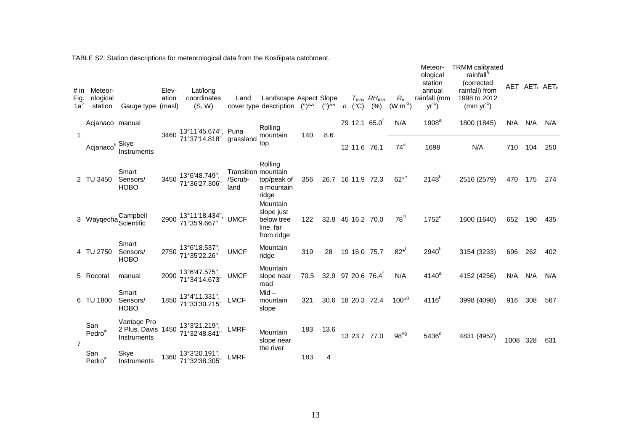| # in<br>Fig.<br>1a <sup>′</sup> | Meteor-<br>ological<br>station | Gauge type                                       | Elev-<br>ation<br>(masl) | Lat/long<br>coordinates<br>(S, W)        | Land                                   | Landscape Aspect Slope<br>cover type description                | (°)^^ | $(°)$ M n         | $(^{\circ}C)$ | $T_{\text{max}}$ $RH_{\text{min}}$<br>(% ) | $R_{n}$<br>$(W m^{-2})$ | Meteor-<br>ological<br>station<br>annual<br>rainfall (mm<br>$yr^{-1}$ | <b>TRMM</b> calibrated<br>rainfall <sup>§</sup><br>(corrected<br>rainfall) from<br>1998 to 2012<br>$(mm yr^{-1})$ |          |     | AET AET; AET <sub>c</sub> |
|---------------------------------|--------------------------------|--------------------------------------------------|--------------------------|------------------------------------------|----------------------------------------|-----------------------------------------------------------------|-------|-------------------|---------------|--------------------------------------------|-------------------------|-----------------------------------------------------------------------|-------------------------------------------------------------------------------------------------------------------|----------|-----|---------------------------|
| 1                               | Acjanaco manual                |                                                  | 3460                     | 13°11'45.674", Puna                      |                                        | Rolling<br>mountain                                             | 140   | 8.6               |               | 79 12.1 65.0                               | N/A                     | 1908 <sup>a</sup>                                                     | 1800 (1845)                                                                                                       | N/A      | N/A | N/A                       |
|                                 | Acjanaco <sup>h</sup> Skye     | Instruments                                      |                          | 71°37'14.818"                            | grassland                              | top                                                             |       |                   | 12 11.6 76.1  |                                            | $74^{\#}$               | 1698                                                                  | N/A                                                                                                               | 710      | 104 | 250                       |
|                                 | 2 TU 3450                      | Smart<br>Sensors/<br><b>HOBO</b>                 | 3450                     | 13°6'48.749".<br>71°36'27.306"           | Transition mountain<br>/Scrub-<br>land | Rolling<br>top/peak of<br>a mountain<br>ridge                   | 356   | 26.7              | 16 11.9 72.3  |                                            | $62*^{e}$               | $2148^{b}$                                                            | 2516 (2579)                                                                                                       | 470      | 175 | 274                       |
|                                 |                                | Campbell<br>3 Wayqecha Scientific                | 2900                     | 13°11'18.434",<br>71°35'9.667"           | <b>UMCF</b>                            | Mountain<br>slope just<br>below tree<br>line, far<br>from ridge | 122   | 32.8 45 16.2 70.0 |               |                                            | $78^{\text{H}}$         | $1752^c$                                                              | 1600 (1640)                                                                                                       | 652      | 190 | 435                       |
|                                 | 4 TU 2750                      | Smart<br>Sensors/<br><b>HOBO</b>                 | 2750                     | 13°6'18.537",<br>71°35'22.26"            | <b>UMCF</b>                            | Mountain<br>ridge                                               | 319   | 28                | 19 16.0 75.7  |                                            | $82^{*f}$               | 2940 <sup>b</sup>                                                     | 3154 (3233)                                                                                                       | 696      | 262 | 402                       |
|                                 | 5 Rocotal                      | manual                                           | 2090                     | $13^{\circ}6'47.575$ ",<br>71°34'14.673" | <b>UMCF</b>                            | Mountain<br>slope near<br>road                                  | 70.5  | 32.9 97 20.6 76.4 |               |                                            | N/A                     | 4140 <sup>a</sup>                                                     | 4152 (4256)                                                                                                       | N/A      | N/A | N/A                       |
|                                 | 6 TU 1800                      | Smart<br>Sensors/<br><b>HOBO</b>                 | 1850                     | $13^{\circ}4'11.331$ ",<br>71°33'30.215" | <b>LMCF</b>                            | $Mid -$<br>mountain<br>slope                                    | 321   |                   |               | 30.6 18 20.3 72.4                          | $100*9$                 | 4116 <sup>b</sup>                                                     | 3998 (4098)                                                                                                       | 916      | 308 | 567                       |
| $\overline{7}$                  | San<br>Pedro                   | Vantage Pro<br>2 Plus, Davis 1450<br>Instruments |                          | 13°3'21.219".<br>71°32'48.841"           | <b>LMRF</b>                            | Mountain<br>slope near                                          | 183   | 13.6              |               | 13 23.7 77.0                               | $98^{#g}$               | 5436 <sup>d</sup>                                                     | 4831 (4952)                                                                                                       | 1008 328 |     | 631                       |
|                                 | San<br>Pedro $*$               | Skye<br>Instruments                              | 1360                     | 13°3'20.191".<br>71°32'38.305'           | <b>LMRF</b>                            | the river                                                       | 183   | 4                 |               |                                            |                         |                                                                       |                                                                                                                   |          |     |                           |

TABLE S2: Station descriptions for meteorological data from the Kosñipata catchment.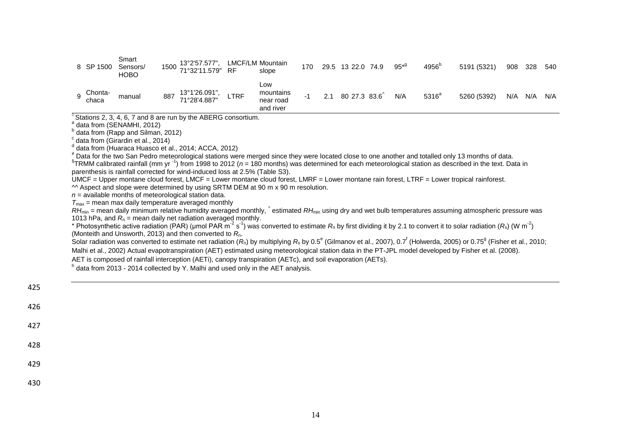|          | 8 SP 1500        | Smart<br>Sensors/<br><b>HOBO</b> |     | 1500 13°2'57.577",<br>71°32'11.579" | <b>RF</b>   | LMCF/LM Mountain<br>slope                  | 170 |     | 29.5 13 22.0 74.9 | $95^{*9}$ | $4956^{\circ}$ | 5191 (5321) | 908 328 |     | 540 |
|----------|------------------|----------------------------------|-----|-------------------------------------|-------------|--------------------------------------------|-----|-----|-------------------|-----------|----------------|-------------|---------|-----|-----|
| <b>Q</b> | Chonta-<br>chaca | manual                           | 887 | 13°1'26.091",<br>71°28'4.887"       | <b>LTRF</b> | Low<br>mountains<br>near road<br>and river |     | 2.1 | 80 27.3 83.6      | N/A       | $5316^a$       | 5260 (5392) | N/A     | N/A | N/A |

 $\sqrt[6]{}$  Stations 2, 3, 4, 6, 7 and 8 are run by the ABERG consortium.

 $\int_a^a$  data from [\(SENAMHI, 2012\)](#page-11-8)

<sup>b</sup> data from [\(Rapp and Silman, 2012\)](#page-11-9)

 $\textdegree$  data from [\(Girardin et al., 2014\)](#page-9-12)

d data from [\(Huaraca Huasco et al., 2014;](#page-10-14) [ACCA, 2012\)](#page-9-13)

 $*$  Data for the two San Pedro meteorological stations were merged since they were located close to one another and totalled only 13 months of data.

<sup>§</sup>TRMM calibrated rainfall (mm yr <sup>-1</sup>) from 1998 to 2012 (*n* = 180 months) was determined for each meteorological station as described in the text. Data in parenthesis is rainfall corrected for wind-induced loss at 2.5% (Table S3).

UMCF = Upper montane cloud forest, LMCF = Lower montane cloud forest, LMRF = Lower montane rain forest, LTRF = Lower tropical rainforest.

 $\textdegree$  Aspect and slope were determined by using SRTM DEM at 90 m x 90 m resolution.

 $n =$  available months of meteorological station data.

 $T_{\text{max}}$  = mean max daily temperature averaged monthly

RH<sub>min</sub> = mean daily minimum relative humidity averaged monthly, <sup>^</sup> estimated RH<sub>min</sub> using dry and wet bulb temperatures assuming atmospheric pressure was 1013 hPa, and  $R_n$  = mean daily net radiation averaged monthly.

\* Photosynthetic active radiation (PAR) (µmol PAR m<sup>-2</sup> s<sup>-1</sup>) was converted to estimate  $R_n$  by first dividing it by 2.1 to convert it to solar radiation ( $R_s$ ) (W m<sup>-2</sup>) [\(Monteith and Unsworth, 2013\)](#page-10-15) and then converted to *R*n.

Solar radiation was converted to estimate net radiation (R<sub>n</sub>) by multiplying R<sub>s</sub> by 0.5<sup>e</sup> [\(Gilmanov et al., 2007\)](#page-9-14), 0.7<sup>f</sup> [\(Holwerda, 2005\)](#page-10-16) or 0.75<sup>g</sup> [\(Fisher et al., 2010;](#page-9-15) [Malhi et al., 2002\)](#page-10-17) Actual evapotranspiration (AET) estimated using meteorological station data in the PT-JPL model developed b[y Fisher et al. \(2008\)](#page-9-16).

AET is composed of rainfall interception (AETi), canopy transpiration (AETc), and soil evaporation (AETs).

<sup>h</sup> data from 2013 - 2014 collected by Y. Malhi and used only in the AET analysis.

| $-$ |  |  |  |
|-----|--|--|--|
| 426 |  |  |  |
| 427 |  |  |  |
| 428 |  |  |  |
| 429 |  |  |  |
| 430 |  |  |  |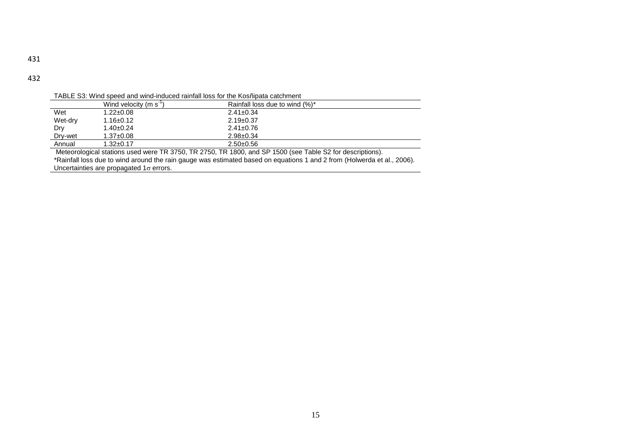TABLE S3: Wind speed and wind-induced rainfall loss for the Kosñipata catchment

|         |                                 | TADLE 33. WITH SDEED AND WITH THOUCED TAILING TOSS TOT THE KOSHIDAIA CALCHITIENT |  |
|---------|---------------------------------|----------------------------------------------------------------------------------|--|
|         | Wind velocity (m s <sup>-</sup> | Rainfall loss due to wind (%)*                                                   |  |
| Wet     | $1.22 \pm 0.08$                 | $2.41 \pm 0.34$                                                                  |  |
| Wet-dry | $1.16 \pm 0.12$                 | $2.19 \pm 0.37$                                                                  |  |
| Dry     | $1.40 \pm 0.24$                 | $2.41 \pm 0.76$                                                                  |  |
| Dry-wet | $1.37 \pm 0.08$                 | $2.98 \pm 0.34$                                                                  |  |
| Annual  | $1.32 \pm 0.17$                 | $2.50+0.56$                                                                      |  |
|         |                                 |                                                                                  |  |

Meteorological stations used were TR 3750, TR 2750, TR 1800, and SP 1500 (see Table S2 for descriptions).

\*Rainfall loss due to wind around the rain gauge was estimated based on equations 1 and 2 from [\(Holwerda et al., 2006\)](#page-10-18).

Uncertainties are propagated  $1\sigma$  errors.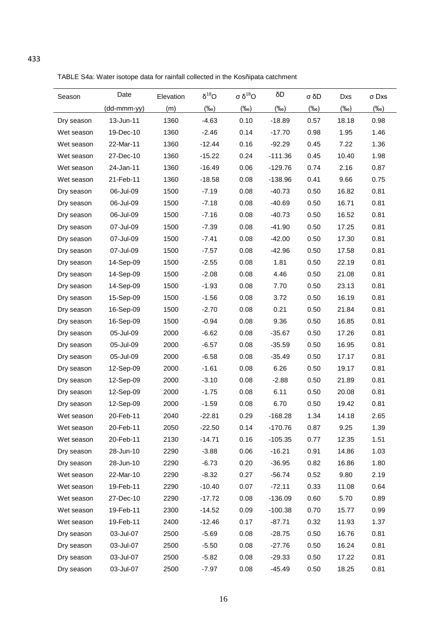TABLE S4a: Water isotope data for rainfall collected in the Kosñipata catchment

| Season     | Date        | Elevation | $\delta^{18}O$ | σ <sup>18</sup> O | δD         | σ δD    | Dxs     | σ Dxs      |
|------------|-------------|-----------|----------------|-------------------|------------|---------|---------|------------|
|            | (dd-mmm-yy) | (m)       | $(\%o)$        | $(\%o)$           | $(\%circ)$ | $(\%o)$ | $(\%o)$ | $(\%circ)$ |
| Dry season | 13-Jun-11   | 1360      | $-4.63$        | 0.10              | $-18.89$   | 0.57    | 18.18   | 0.98       |
| Wet season | 19-Dec-10   | 1360      | $-2.46$        | 0.14              | $-17.70$   | 0.98    | 1.95    | 1.46       |
| Wet season | 22-Mar-11   | 1360      | $-12.44$       | 0.16              | $-92.29$   | 0.45    | 7.22    | 1.36       |
| Wet season | 27-Dec-10   | 1360      | $-15.22$       | 0.24              | $-111.36$  | 0.45    | 10.40   | 1.98       |
| Wet season | 24-Jan-11   | 1360      | $-16.49$       | 0.06              | $-129.76$  | 0.74    | 2.16    | 0.87       |
| Wet season | 21-Feb-11   | 1360      | $-18.58$       | 0.08              | $-138.96$  | 0.41    | 9.66    | 0.75       |
| Dry season | 06-Jul-09   | 1500      | $-7.19$        | 0.08              | $-40.73$   | 0.50    | 16.82   | 0.81       |
| Dry season | 06-Jul-09   | 1500      | $-7.18$        | 0.08              | $-40.69$   | 0.50    | 16.71   | 0.81       |
| Dry season | 06-Jul-09   | 1500      | $-7.16$        | 0.08              | $-40.73$   | 0.50    | 16.52   | 0.81       |
| Dry season | 07-Jul-09   | 1500      | $-7.39$        | 0.08              | $-41.90$   | 0.50    | 17.25   | 0.81       |
| Dry season | 07-Jul-09   | 1500      | $-7.41$        | 0.08              | $-42.00$   | 0.50    | 17.30   | 0.81       |
| Dry season | 07-Jul-09   | 1500      | $-7.57$        | 0.08              | $-42.96$   | 0.50    | 17.58   | 0.81       |
| Dry season | 14-Sep-09   | 1500      | $-2.55$        | 0.08              | 1.81       | 0.50    | 22.19   | 0.81       |
| Dry season | 14-Sep-09   | 1500      | $-2.08$        | 0.08              | 4.46       | 0.50    | 21.08   | 0.81       |
| Dry season | 14-Sep-09   | 1500      | $-1.93$        | 0.08              | 7.70       | 0.50    | 23.13   | 0.81       |
| Dry season | 15-Sep-09   | 1500      | $-1.56$        | 0.08              | 3.72       | 0.50    | 16.19   | 0.81       |
| Dry season | 16-Sep-09   | 1500      | $-2.70$        | 0.08              | 0.21       | 0.50    | 21.84   | 0.81       |
| Dry season | 16-Sep-09   | 1500      | $-0.94$        | 0.08              | 9.36       | 0.50    | 16.85   | 0.81       |
| Dry season | 05-Jul-09   | 2000      | $-6.62$        | 0.08              | $-35.67$   | 0.50    | 17.26   | 0.81       |
| Dry season | 05-Jul-09   | 2000      | $-6.57$        | 0.08              | $-35.59$   | 0.50    | 16.95   | 0.81       |
| Dry season | 05-Jul-09   | 2000      | $-6.58$        | 0.08              | $-35.49$   | 0.50    | 17.17   | 0.81       |
| Dry season | 12-Sep-09   | 2000      | $-1.61$        | 0.08              | 6.26       | 0.50    | 19.17   | 0.81       |
| Dry season | 12-Sep-09   | 2000      | $-3.10$        | 0.08              | $-2.88$    | 0.50    | 21.89   | 0.81       |
| Dry season | 12-Sep-09   | 2000      | $-1.75$        | 0.08              | 6.11       | 0.50    | 20.08   | 0.81       |
| Dry season | 12-Sep-09   | 2000      | $-1.59$        | 0.08              | 6.70       | 0.50    | 19.42   | 0.81       |
| Wet season | 20-Feb-11   | 2040      | $-22.81$       | 0.29              | $-168.28$  | 1.34    | 14.18   | 2.65       |
| Wet season | 20-Feb-11   | 2050      | $-22.50$       | 0.14              | $-170.76$  | 0.87    | 9.25    | 1.39       |
| Wet season | 20-Feb-11   | 2130      | $-14.71$       | 0.16              | $-105.35$  | 0.77    | 12.35   | 1.51       |
| Dry season | 28-Jun-10   | 2290      | $-3.88$        | 0.06              | $-16.21$   | 0.91    | 14.86   | 1.03       |
| Dry season | 28-Jun-10   | 2290      | $-6.73$        | 0.20              | $-36.95$   | 0.82    | 16.86   | 1.80       |
| Wet season | 22-Mar-10   | 2290      | $-8.32$        | 0.27              | $-56.74$   | 0.52    | 9.80    | 2.19       |
| Wet season | 19-Feb-11   | 2290      | $-10.40$       | 0.07              | $-72.11$   | 0.33    | 11.08   | 0.64       |
| Wet season | 27-Dec-10   | 2290      | $-17.72$       | 0.08              | $-136.09$  | 0.60    | 5.70    | 0.89       |
| Wet season | 19-Feb-11   | 2300      | $-14.52$       | 0.09              | $-100.38$  | 0.70    | 15.77   | 0.99       |
| Wet season | 19-Feb-11   | 2400      | $-12.46$       | 0.17              | $-87.71$   | 0.32    | 11.93   | 1.37       |
| Dry season | 03-Jul-07   | 2500      | $-5.69$        | 0.08              | $-28.75$   | 0.50    | 16.76   | 0.81       |
| Dry season | 03-Jul-07   | 2500      | $-5.50$        | 0.08              | $-27.76$   | 0.50    | 16.24   | 0.81       |
| Dry season | 03-Jul-07   | 2500      | $-5.82$        | 0.08              | $-29.33$   | 0.50    | 17.22   | 0.81       |
| Dry season | 03-Jul-07   | 2500      | $-7.97$        | 0.08              | $-45.49$   | 0.50    | 18.25   | 0.81       |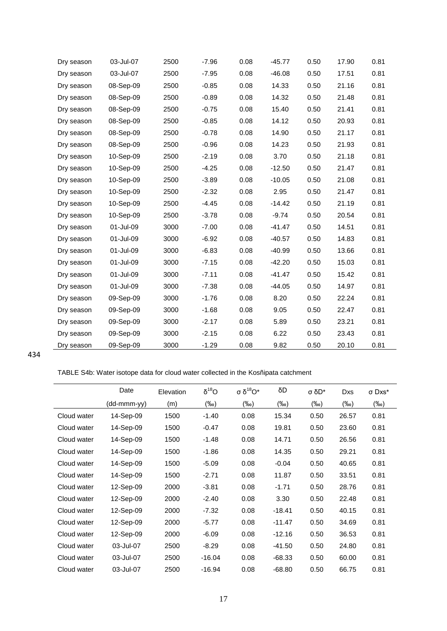| Dry season | 03-Jul-07 | 2500 | $-7.96$ | 0.08 | $-45.77$ | 0.50 | 17.90 | 0.81 |
|------------|-----------|------|---------|------|----------|------|-------|------|
| Dry season | 03-Jul-07 | 2500 | $-7.95$ | 0.08 | $-46.08$ | 0.50 | 17.51 | 0.81 |
| Dry season | 08-Sep-09 | 2500 | $-0.85$ | 0.08 | 14.33    | 0.50 | 21.16 | 0.81 |
| Dry season | 08-Sep-09 | 2500 | $-0.89$ | 0.08 | 14.32    | 0.50 | 21.48 | 0.81 |
| Dry season | 08-Sep-09 | 2500 | $-0.75$ | 0.08 | 15.40    | 0.50 | 21.41 | 0.81 |
| Dry season | 08-Sep-09 | 2500 | $-0.85$ | 0.08 | 14.12    | 0.50 | 20.93 | 0.81 |
| Dry season | 08-Sep-09 | 2500 | $-0.78$ | 0.08 | 14.90    | 0.50 | 21.17 | 0.81 |
| Dry season | 08-Sep-09 | 2500 | $-0.96$ | 0.08 | 14.23    | 0.50 | 21.93 | 0.81 |
| Dry season | 10-Sep-09 | 2500 | $-2.19$ | 0.08 | 3.70     | 0.50 | 21.18 | 0.81 |
| Dry season | 10-Sep-09 | 2500 | $-4.25$ | 0.08 | $-12.50$ | 0.50 | 21.47 | 0.81 |
| Dry season | 10-Sep-09 | 2500 | $-3.89$ | 0.08 | $-10.05$ | 0.50 | 21.08 | 0.81 |
| Dry season | 10-Sep-09 | 2500 | $-2.32$ | 0.08 | 2.95     | 0.50 | 21.47 | 0.81 |
| Dry season | 10-Sep-09 | 2500 | $-4.45$ | 0.08 | $-14.42$ | 0.50 | 21.19 | 0.81 |
| Dry season | 10-Sep-09 | 2500 | $-3.78$ | 0.08 | $-9.74$  | 0.50 | 20.54 | 0.81 |
| Dry season | 01-Jul-09 | 3000 | $-7.00$ | 0.08 | $-41.47$ | 0.50 | 14.51 | 0.81 |
| Dry season | 01-Jul-09 | 3000 | $-6.92$ | 0.08 | $-40.57$ | 0.50 | 14.83 | 0.81 |
| Dry season | 01-Jul-09 | 3000 | $-6.83$ | 0.08 | $-40.99$ | 0.50 | 13.66 | 0.81 |
| Dry season | 01-Jul-09 | 3000 | $-7.15$ | 0.08 | $-42.20$ | 0.50 | 15.03 | 0.81 |
| Dry season | 01-Jul-09 | 3000 | $-7.11$ | 0.08 | $-41.47$ | 0.50 | 15.42 | 0.81 |
| Dry season | 01-Jul-09 | 3000 | $-7.38$ | 0.08 | $-44.05$ | 0.50 | 14.97 | 0.81 |
| Dry season | 09-Sep-09 | 3000 | $-1.76$ | 0.08 | 8.20     | 0.50 | 22.24 | 0.81 |
| Dry season | 09-Sep-09 | 3000 | $-1.68$ | 0.08 | 9.05     | 0.50 | 22.47 | 0.81 |
| Dry season | 09-Sep-09 | 3000 | $-2.17$ | 0.08 | 5.89     | 0.50 | 23.21 | 0.81 |
| Dry season | 09-Sep-09 | 3000 | $-2.15$ | 0.08 | 6.22     | 0.50 | 23.43 | 0.81 |
| Dry season | 09-Sep-09 | 3000 | $-1.29$ | 0.08 | 9.82     | 0.50 | 20.10 | 0.81 |

TABLE S4b: Water isotope data for cloud water collected in the Kosñipata catchment

|             | Date        | Elevation | $\delta^{18}O$ | σ δ <sup>18</sup> Ο* | δD       | σ δD* | <b>Dxs</b> | σ Dxs* |
|-------------|-------------|-----------|----------------|----------------------|----------|-------|------------|--------|
|             | (dd-mmm-yy) | (m)       | (‰)            | (‰)                  | (‰)      | (‰)   | (‰)        | (‰)    |
| Cloud water | 14-Sep-09   | 1500      | $-1.40$        | 0.08                 | 15.34    | 0.50  | 26.57      | 0.81   |
| Cloud water | 14-Sep-09   | 1500      | $-0.47$        | 0.08                 | 19.81    | 0.50  | 23.60      | 0.81   |
| Cloud water | 14-Sep-09   | 1500      | $-1.48$        | 0.08                 | 14.71    | 0.50  | 26.56      | 0.81   |
| Cloud water | 14-Sep-09   | 1500      | $-1.86$        | 0.08                 | 14.35    | 0.50  | 29.21      | 0.81   |
| Cloud water | 14-Sep-09   | 1500      | $-5.09$        | 0.08                 | $-0.04$  | 0.50  | 40.65      | 0.81   |
| Cloud water | 14-Sep-09   | 1500      | $-2.71$        | 0.08                 | 11.87    | 0.50  | 33.51      | 0.81   |
| Cloud water | 12-Sep-09   | 2000      | $-3.81$        | 0.08                 | $-1.71$  | 0.50  | 28.76      | 0.81   |
| Cloud water | 12-Sep-09   | 2000      | $-2.40$        | 0.08                 | 3.30     | 0.50  | 22.48      | 0.81   |
| Cloud water | 12-Sep-09   | 2000      | $-7.32$        | 0.08                 | $-18.41$ | 0.50  | 40.15      | 0.81   |
| Cloud water | 12-Sep-09   | 2000      | $-5.77$        | 0.08                 | $-11.47$ | 0.50  | 34.69      | 0.81   |
| Cloud water | 12-Sep-09   | 2000      | $-6.09$        | 0.08                 | $-12.16$ | 0.50  | 36.53      | 0.81   |
| Cloud water | 03-Jul-07   | 2500      | $-8.29$        | 0.08                 | $-41.50$ | 0.50  | 24.80      | 0.81   |
| Cloud water | 03-Jul-07   | 2500      | $-16.04$       | 0.08                 | $-68.33$ | 0.50  | 60.00      | 0.81   |
| Cloud water | 03-Jul-07   | 2500      | $-16.94$       | 0.08                 | $-68.80$ | 0.50  | 66.75      | 0.81   |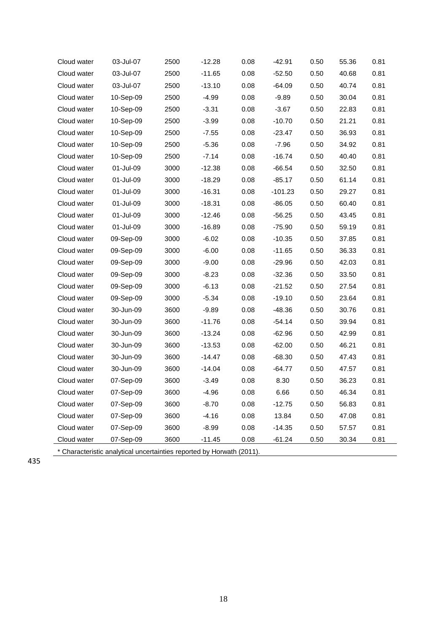| Cloud water | 03-Jul-07                                                             | 2500 | $-12.28$ | 0.08 | $-42.91$  | 0.50 | 55.36 | 0.81 |
|-------------|-----------------------------------------------------------------------|------|----------|------|-----------|------|-------|------|
| Cloud water | 03-Jul-07                                                             | 2500 | $-11.65$ | 0.08 | $-52.50$  | 0.50 | 40.68 | 0.81 |
| Cloud water | 03-Jul-07                                                             | 2500 | $-13.10$ | 0.08 | $-64.09$  | 0.50 | 40.74 | 0.81 |
| Cloud water | 10-Sep-09                                                             | 2500 | $-4.99$  | 0.08 | $-9.89$   | 0.50 | 30.04 | 0.81 |
| Cloud water | 10-Sep-09                                                             | 2500 | $-3.31$  | 0.08 | $-3.67$   | 0.50 | 22.83 | 0.81 |
| Cloud water | 10-Sep-09                                                             | 2500 | $-3.99$  | 0.08 | $-10.70$  | 0.50 | 21.21 | 0.81 |
| Cloud water | 10-Sep-09                                                             | 2500 | $-7.55$  | 0.08 | $-23.47$  | 0.50 | 36.93 | 0.81 |
| Cloud water | 10-Sep-09                                                             | 2500 | $-5.36$  | 0.08 | $-7.96$   | 0.50 | 34.92 | 0.81 |
| Cloud water | 10-Sep-09                                                             | 2500 | $-7.14$  | 0.08 | $-16.74$  | 0.50 | 40.40 | 0.81 |
| Cloud water | 01-Jul-09                                                             | 3000 | $-12.38$ | 0.08 | $-66.54$  | 0.50 | 32.50 | 0.81 |
| Cloud water | 01-Jul-09                                                             | 3000 | $-18.29$ | 0.08 | $-85.17$  | 0.50 | 61.14 | 0.81 |
| Cloud water | 01-Jul-09                                                             | 3000 | $-16.31$ | 0.08 | $-101.23$ | 0.50 | 29.27 | 0.81 |
| Cloud water | 01-Jul-09                                                             | 3000 | $-18.31$ | 0.08 | $-86.05$  | 0.50 | 60.40 | 0.81 |
| Cloud water | 01-Jul-09                                                             | 3000 | $-12.46$ | 0.08 | $-56.25$  | 0.50 | 43.45 | 0.81 |
| Cloud water | 01-Jul-09                                                             | 3000 | $-16.89$ | 0.08 | $-75.90$  | 0.50 | 59.19 | 0.81 |
| Cloud water | 09-Sep-09                                                             | 3000 | $-6.02$  | 0.08 | $-10.35$  | 0.50 | 37.85 | 0.81 |
| Cloud water | 09-Sep-09                                                             | 3000 | $-6.00$  | 0.08 | $-11.65$  | 0.50 | 36.33 | 0.81 |
| Cloud water | 09-Sep-09                                                             | 3000 | $-9.00$  | 0.08 | $-29.96$  | 0.50 | 42.03 | 0.81 |
| Cloud water | 09-Sep-09                                                             | 3000 | $-8.23$  | 0.08 | $-32.36$  | 0.50 | 33.50 | 0.81 |
| Cloud water | 09-Sep-09                                                             | 3000 | $-6.13$  | 0.08 | $-21.52$  | 0.50 | 27.54 | 0.81 |
| Cloud water | 09-Sep-09                                                             | 3000 | $-5.34$  | 0.08 | $-19.10$  | 0.50 | 23.64 | 0.81 |
| Cloud water | 30-Jun-09                                                             | 3600 | $-9.89$  | 0.08 | $-48.36$  | 0.50 | 30.76 | 0.81 |
| Cloud water | 30-Jun-09                                                             | 3600 | $-11.76$ | 0.08 | $-54.14$  | 0.50 | 39.94 | 0.81 |
| Cloud water | 30-Jun-09                                                             | 3600 | $-13.24$ | 0.08 | $-62.96$  | 0.50 | 42.99 | 0.81 |
| Cloud water | 30-Jun-09                                                             | 3600 | $-13.53$ | 0.08 | $-62.00$  | 0.50 | 46.21 | 0.81 |
| Cloud water | 30-Jun-09                                                             | 3600 | $-14.47$ | 0.08 | $-68.30$  | 0.50 | 47.43 | 0.81 |
| Cloud water | 30-Jun-09                                                             | 3600 | $-14.04$ | 0.08 | $-64.77$  | 0.50 | 47.57 | 0.81 |
| Cloud water | 07-Sep-09                                                             | 3600 | $-3.49$  | 0.08 | 8.30      | 0.50 | 36.23 | 0.81 |
| Cloud water | 07-Sep-09                                                             | 3600 | $-4.96$  | 0.08 | 6.66      | 0.50 | 46.34 | 0.81 |
| Cloud water | 07-Sep-09                                                             | 3600 | $-8.70$  | 0.08 | $-12.75$  | 0.50 | 56.83 | 0.81 |
| Cloud water | 07-Sep-09                                                             | 3600 | $-4.16$  | 0.08 | 13.84     | 0.50 | 47.08 | 0.81 |
| Cloud water | 07-Sep-09                                                             | 3600 | $-8.99$  | 0.08 | $-14.35$  | 0.50 | 57.57 | 0.81 |
| Cloud water | 07-Sep-09                                                             | 3600 | $-11.45$ | 0.08 | $-61.24$  | 0.50 | 30.34 | 0.81 |
|             | * Characteristic analytical uncertainties reported by Horwath (2011). |      |          |      |           |      |       |      |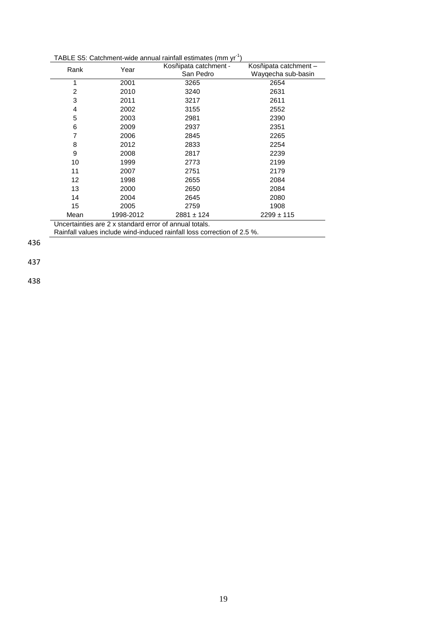| TABLE S5: Catchment-wide annual rainfall estimates (mm yr <sup>-1</sup> ) |  |  |
|---------------------------------------------------------------------------|--|--|

| Rank              | Year                                                   | Kosñipata catchment -<br>San Pedro | Kosñipata catchment -<br>Waygecha sub-basin |
|-------------------|--------------------------------------------------------|------------------------------------|---------------------------------------------|
| 1                 | 2001                                                   | 3265                               | 2654                                        |
| 2                 | 2010                                                   | 3240                               | 2631                                        |
| 3                 | 2011                                                   | 3217                               | 2611                                        |
| 4                 | 2002                                                   | 3155                               | 2552                                        |
| 5                 | 2003                                                   | 2981                               | 2390                                        |
| 6                 | 2009                                                   | 2937                               | 2351                                        |
| 7                 | 2006                                                   | 2845                               | 2265                                        |
| 8                 | 2012                                                   | 2833                               | 2254                                        |
| 9                 | 2008                                                   | 2817                               | 2239                                        |
| 10                | 1999                                                   | 2773                               | 2199                                        |
| 11                | 2007                                                   | 2751                               | 2179                                        |
| $12 \overline{ }$ | 1998                                                   | 2655                               | 2084                                        |
| 13                | 2000                                                   | 2650                               | 2084                                        |
| 14                | 2004                                                   | 2645                               | 2080                                        |
| 15                | 2005                                                   | 2759                               | 1908                                        |
| Mean              | 1998-2012                                              | $2881 \pm 124$                     | $2299 \pm 115$                              |
|                   | Uncertainties are 2 x standard error of annual totals. |                                    |                                             |

Rainfall values include wind-induced rainfall loss correction of 2.5 %.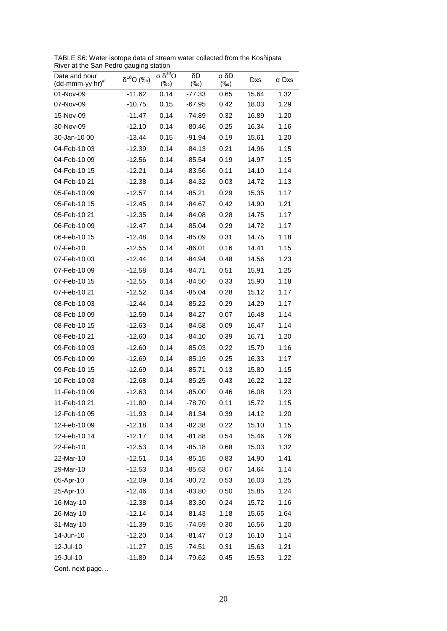TABLE S6: Water isotope data of stream water collected from the Kosñipata River at the San Pedro gauging station

| Niver at the Sail Feuro gaughly Station                      |                    |                                       |               |                    |       |       |
|--------------------------------------------------------------|--------------------|---------------------------------------|---------------|--------------------|-------|-------|
| Date and hour<br>$(dd\text{-}\text{mmm-}yy$ hr) <sup>#</sup> | $\delta^{18}O$ (‰) | $\sigma$ δ <sup>18</sup> Ο<br>$(\%o)$ | δD<br>$(\%o)$ | σ δD<br>$(\%circ)$ | Dxs   | σ Dxs |
| 01-Nov-09                                                    | -11.62             | 0.14                                  | $-77.33$      | 0.65               | 15.64 | 1.32  |
| 07-Nov-09                                                    | $-10.75$           | 0.15                                  | $-67.95$      | 0.42               | 18.03 | 1.29  |
| 15-Nov-09                                                    | $-11.47$           | 0.14                                  | -74.89        | 0.32               | 16.89 | 1.20  |
| 30-Nov-09                                                    | $-12.10$           | 0.14                                  | $-80.46$      | 0.25               | 16.34 | 1.16  |
| 30-Jan-10 00                                                 | $-13.44$           | 0.15                                  | $-91.94$      | 0.19               | 15.61 | 1.20  |
| 04-Feb-10 03                                                 | $-12.39$           | 0.14                                  | $-84.13$      | 0.21               | 14.96 | 1.15  |
| 04-Feb-10 09                                                 | $-12.56$           | 0.14                                  | $-85.54$      | 0.19               | 14.97 | 1.15  |
| 04-Feb-10 15                                                 | $-12.21$           | 0.14                                  | $-83.56$      | 0.11               | 14.10 | 1.14  |
| 04-Feb-10 21                                                 | $-12.38$           | 0.14                                  | $-84.32$      | 0.03               | 14.72 | 1.13  |
| 05-Feb-10 09                                                 | $-12.57$           | 0.14                                  | $-85.21$      | 0.29               | 15.35 | 1.17  |
| 05-Feb-10 15                                                 | $-12.45$           | 0.14                                  | $-84.67$      | 0.42               | 14.90 | 1.21  |
| 05-Feb-10 21                                                 | $-12.35$           | 0.14                                  | $-84.08$      | 0.28               | 14.75 | 1.17  |
| 06-Feb-10 09                                                 | $-12.47$           | 0.14                                  | $-85.04$      | 0.29               | 14.72 | 1.17  |
| 06-Feb-10 15                                                 | $-12.48$           | 0.14                                  | $-85.09$      | 0.31               | 14.75 | 1.18  |
| 07-Feb-10                                                    | $-12.55$           | 0.14                                  | $-86.01$      | 0.16               | 14.41 | 1.15  |
| 07-Feb-10 03                                                 | $-12.44$           | 0.14                                  | -84.94        | 0.48               | 14.56 | 1.23  |
| 07-Feb-10 09                                                 | $-12.58$           | 0.14                                  | $-84.71$      | 0.51               | 15.91 | 1.25  |
| 07-Feb-10 15                                                 | $-12.55$           | 0.14                                  | $-84.50$      | 0.33               | 15.90 | 1.18  |
| 07-Feb-10 21                                                 | $-12.52$           | 0.14                                  | $-85.04$      | 0.28               | 15.12 | 1.17  |
| 08-Feb-10 03                                                 | $-12.44$           | 0.14                                  | $-85.22$      | 0.29               | 14.29 | 1.17  |
| 08-Feb-10 09                                                 | $-12.59$           | 0.14                                  | -84.27        | 0.07               | 16.48 | 1.14  |
| 08-Feb-10 15                                                 | $-12.63$           | 0.14                                  | $-84.58$      | 0.09               | 16.47 | 1.14  |
| 08-Feb-10 21                                                 | $-12.60$           | 0.14                                  | $-84.10$      | 0.39               | 16.71 | 1.20  |
| 09-Feb-10 03                                                 | $-12.60$           | 0.14                                  | $-85.03$      | 0.22               | 15.79 | 1.16  |
| 09-Feb-10 09                                                 | $-12.69$           | 0.14                                  | $-85.19$      | 0.25               | 16.33 | 1.17  |
| 09-Feb-10 15                                                 | $-12.69$           | 0.14                                  | $-85.71$      | 0.13               | 15.80 | 1.15  |
| 10-Feb-10 03                                                 | $-12.68$           | 0.14                                  | $-85.25$      | 0.43               | 16.22 | 1.22  |
| 11-Feb-10 09                                                 | $-12.63$           | 0.14                                  | $-85.00$      | 0.46               | 16.08 | 1.23  |
| 11-Feb-10 21                                                 | $-11.80$           | 0.14                                  | $-78.70$      | 0.11               | 15.72 | 1.15  |
| 12-Feb-10 05                                                 | $-11.93$           | 0.14                                  | $-81.34$      | 0.39               | 14.12 | 1.20  |
| 12-Feb-10 09                                                 | $-12.18$           | 0.14                                  | $-82.38$      | 0.22               | 15.10 | 1.15  |
| 12-Feb-10 14                                                 | $-12.17$           | 0.14                                  | $-81.88$      | 0.54               | 15.46 | 1.26  |
| 22-Feb-10                                                    | $-12.53$           | 0.14                                  | $-85.18$      | 0.68               | 15.03 | 1.32  |
| 22-Mar-10                                                    | $-12.51$           | 0.14                                  | $-85.15$      | 0.83               | 14.90 | 1.41  |
| 29-Mar-10                                                    | $-12.53$           | 0.14                                  | $-85.63$      | 0.07               | 14.64 | 1.14  |
| 05-Apr-10                                                    | $-12.09$           | 0.14                                  | $-80.72$      | 0.53               | 16.03 | 1.25  |
| 25-Apr-10                                                    | $-12.46$           | 0.14                                  | $-83.80$      | 0.50               | 15.85 | 1.24  |
| 16-May-10                                                    | $-12.38$           | 0.14                                  | $-83.30$      | 0.24               | 15.72 | 1.16  |
| 26-May-10                                                    | $-12.14$           | 0.14                                  | $-81.43$      | 1.18               | 15.65 | 1.64  |
| 31-May-10                                                    | $-11.39$           | 0.15                                  | $-74.59$      | 0.30               | 16.56 | 1.20  |
| 14-Jun-10                                                    | $-12.20$           | 0.14                                  | $-81.47$      | 0.13               | 16.10 | 1.14  |
| 12-Jul-10                                                    | $-11.27$           | 0.15                                  | $-74.51$      | 0.31               | 15.63 | 1.21  |
| 19-Jul-10                                                    | $-11.89$           | 0.14                                  | $-79.62$      | 0.45               | 15.53 | 1.22  |
|                                                              |                    |                                       |               |                    |       |       |

Cont. next page…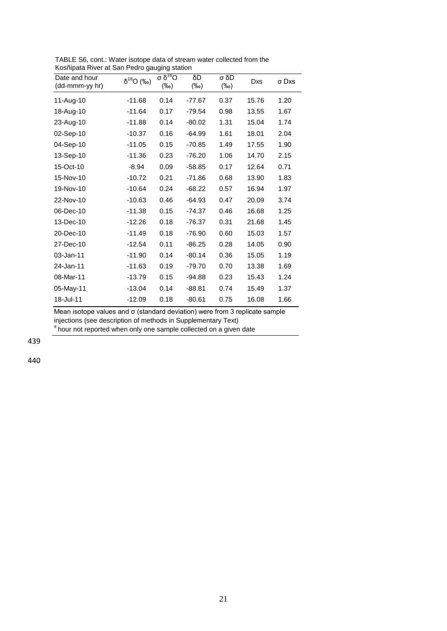| Date and hour<br>(dd-mmm-yy hr) | $\delta^{18}O$ (‰) | σ <sup>18</sup> O<br>$(\%o)$ | δD<br>$(\%circ)$ | σ δD<br>$(\%circ)$ | Dxs   | σ Dxs |
|---------------------------------|--------------------|------------------------------|------------------|--------------------|-------|-------|
| 11-Aug-10                       | $-11.68$           | 0.14                         | $-77.67$         | 0.37               | 15.76 | 1.20  |
| 18-Aug-10                       | $-11.64$           | 0.17                         | $-79.54$         | 0.98               | 13.55 | 1.67  |
| 23-Aug-10                       | $-11.88$           | 0.14                         | $-80.02$         | 1.31               | 15.04 | 1.74  |
| 02-Sep-10                       | $-10.37$           | 0.16                         | $-64.99$         | 1.61               | 18.01 | 2.04  |
| 04-Sep-10                       | $-11.05$           | 0.15                         | $-70.85$         | 1.49               | 17.55 | 1.90  |
| 13-Sep-10                       | $-11.36$           | 0.23                         | $-76.20$         | 1.06               | 14.70 | 2.15  |
| 15-Oct-10                       | $-8.94$            | 0.09                         | $-58.85$         | 0.17               | 12.64 | 0.71  |
| 15-Nov-10                       | $-10.72$           | 0.21                         | $-71.86$         | 0.68               | 13.90 | 1.83  |
| 19-Nov-10                       | $-10.64$           | 0.24                         | $-68.22$         | 0.57               | 16.94 | 1.97  |
| 22-Nov-10                       | $-10.63$           | 0.46                         | $-64.93$         | 0.47               | 20.09 | 3.74  |
| 06-Dec-10                       | $-11.38$           | 0.15                         | $-74.37$         | 0.46               | 16.68 | 1.25  |
| 13-Dec-10                       | $-12.26$           | 0.18                         | $-76.37$         | 0.31               | 21.68 | 1.45  |
| 20-Dec-10                       | $-11.49$           | 0.18                         | $-76.90$         | 0.60               | 15.03 | 1.57  |
| 27-Dec-10                       | $-12.54$           | 0.11                         | $-86.25$         | 0.28               | 14.05 | 0.90  |
| 03-Jan-11                       | $-11.90$           | 0.14                         | $-80.14$         | 0.36               | 15.05 | 1.19  |
| 24-Jan-11                       | $-11.63$           | 0.19                         | $-79.70$         | 0.70               | 13.38 | 1.69  |
| 08-Mar-11                       | $-13.79$           | 0.15                         | -94.88           | 0.23               | 15.43 | 1.24  |
| 05-May-11                       | $-13.04$           | 0.14                         | $-88.81$         | 0.74               | 15.49 | 1.37  |
| 18-Jul-11                       | $-12.09$           | 0.18                         | $-80.61$         | 0.75               | 16.08 | 1.66  |

TABLE S6, cont.: Water isotope data of stream water collected from the Kosñipata River at San Pedro gauging station

Mean isotope values and σ (standard deviation) were from 3 replicate sample injections (see description of methods in Supplementary Text) # hour not reported when only one sample collected on a given date

439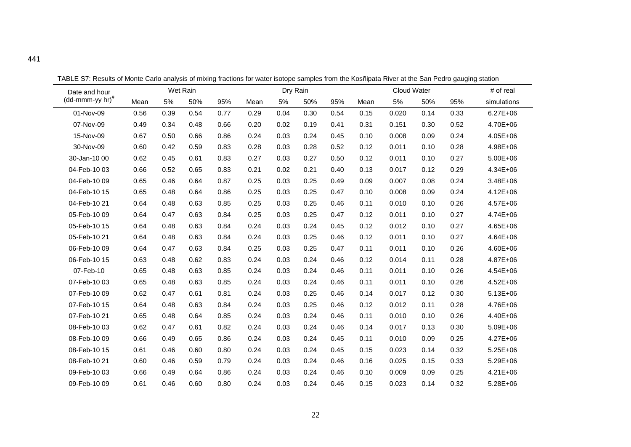| Date and hour                                     |      |      | Wet Rain |      |      | Dry Rain |      |      |      | Cloud Water |      |      | # of real    |
|---------------------------------------------------|------|------|----------|------|------|----------|------|------|------|-------------|------|------|--------------|
| $(dd\text{-}\text{mmm-}yy\text{ hr})^{\text{\#}}$ | Mean | 5%   | 50%      | 95%  | Mean | 5%       | 50%  | 95%  | Mean | 5%          | 50%  | 95%  | simulations  |
| 01-Nov-09                                         | 0.56 | 0.39 | 0.54     | 0.77 | 0.29 | 0.04     | 0.30 | 0.54 | 0.15 | 0.020       | 0.14 | 0.33 | $6.27E + 06$ |
| 07-Nov-09                                         | 0.49 | 0.34 | 0.48     | 0.66 | 0.20 | 0.02     | 0.19 | 0.41 | 0.31 | 0.151       | 0.30 | 0.52 | 4.70E+06     |
| 15-Nov-09                                         | 0.67 | 0.50 | 0.66     | 0.86 | 0.24 | 0.03     | 0.24 | 0.45 | 0.10 | 0.008       | 0.09 | 0.24 | 4.05E+06     |
| 30-Nov-09                                         | 0.60 | 0.42 | 0.59     | 0.83 | 0.28 | 0.03     | 0.28 | 0.52 | 0.12 | 0.011       | 0.10 | 0.28 | 4.98E+06     |
| 30-Jan-10 00                                      | 0.62 | 0.45 | 0.61     | 0.83 | 0.27 | 0.03     | 0.27 | 0.50 | 0.12 | 0.011       | 0.10 | 0.27 | 5.00E+06     |
| 04-Feb-10 03                                      | 0.66 | 0.52 | 0.65     | 0.83 | 0.21 | 0.02     | 0.21 | 0.40 | 0.13 | 0.017       | 0.12 | 0.29 | 4.34E+06     |
| 04-Feb-10 09                                      | 0.65 | 0.46 | 0.64     | 0.87 | 0.25 | 0.03     | 0.25 | 0.49 | 0.09 | 0.007       | 0.08 | 0.24 | 3.48E+06     |
| 04-Feb-10 15                                      | 0.65 | 0.48 | 0.64     | 0.86 | 0.25 | 0.03     | 0.25 | 0.47 | 0.10 | 0.008       | 0.09 | 0.24 | 4.12E+06     |
| 04-Feb-10 21                                      | 0.64 | 0.48 | 0.63     | 0.85 | 0.25 | 0.03     | 0.25 | 0.46 | 0.11 | 0.010       | 0.10 | 0.26 | 4.57E+06     |
| 05-Feb-10 09                                      | 0.64 | 0.47 | 0.63     | 0.84 | 0.25 | 0.03     | 0.25 | 0.47 | 0.12 | 0.011       | 0.10 | 0.27 | 4.74E+06     |
| 05-Feb-10 15                                      | 0.64 | 0.48 | 0.63     | 0.84 | 0.24 | 0.03     | 0.24 | 0.45 | 0.12 | 0.012       | 0.10 | 0.27 | 4.65E+06     |
| 05-Feb-10 21                                      | 0.64 | 0.48 | 0.63     | 0.84 | 0.24 | 0.03     | 0.25 | 0.46 | 0.12 | 0.011       | 0.10 | 0.27 | 4.64E+06     |
| 06-Feb-10 09                                      | 0.64 | 0.47 | 0.63     | 0.84 | 0.25 | 0.03     | 0.25 | 0.47 | 0.11 | 0.011       | 0.10 | 0.26 | 4.60E+06     |
| 06-Feb-10 15                                      | 0.63 | 0.48 | 0.62     | 0.83 | 0.24 | 0.03     | 0.24 | 0.46 | 0.12 | 0.014       | 0.11 | 0.28 | 4.87E+06     |
| 07-Feb-10                                         | 0.65 | 0.48 | 0.63     | 0.85 | 0.24 | 0.03     | 0.24 | 0.46 | 0.11 | 0.011       | 0.10 | 0.26 | 4.54E+06     |
| 07-Feb-10 03                                      | 0.65 | 0.48 | 0.63     | 0.85 | 0.24 | 0.03     | 0.24 | 0.46 | 0.11 | 0.011       | 0.10 | 0.26 | 4.52E+06     |
| 07-Feb-10 09                                      | 0.62 | 0.47 | 0.61     | 0.81 | 0.24 | 0.03     | 0.25 | 0.46 | 0.14 | 0.017       | 0.12 | 0.30 | $5.13E + 06$ |
| 07-Feb-10 15                                      | 0.64 | 0.48 | 0.63     | 0.84 | 0.24 | 0.03     | 0.25 | 0.46 | 0.12 | 0.012       | 0.11 | 0.28 | 4.76E+06     |
| 07-Feb-10 21                                      | 0.65 | 0.48 | 0.64     | 0.85 | 0.24 | 0.03     | 0.24 | 0.46 | 0.11 | 0.010       | 0.10 | 0.26 | 4.40E+06     |
| 08-Feb-10 03                                      | 0.62 | 0.47 | 0.61     | 0.82 | 0.24 | 0.03     | 0.24 | 0.46 | 0.14 | 0.017       | 0.13 | 0.30 | 5.09E+06     |
| 08-Feb-10 09                                      | 0.66 | 0.49 | 0.65     | 0.86 | 0.24 | 0.03     | 0.24 | 0.45 | 0.11 | 0.010       | 0.09 | 0.25 | 4.27E+06     |
| 08-Feb-10 15                                      | 0.61 | 0.46 | 0.60     | 0.80 | 0.24 | 0.03     | 0.24 | 0.45 | 0.15 | 0.023       | 0.14 | 0.32 | $5.25E + 06$ |
| 08-Feb-10 21                                      | 0.60 | 0.46 | 0.59     | 0.79 | 0.24 | 0.03     | 0.24 | 0.46 | 0.16 | 0.025       | 0.15 | 0.33 | 5.29E+06     |
| 09-Feb-10 03                                      | 0.66 | 0.49 | 0.64     | 0.86 | 0.24 | 0.03     | 0.24 | 0.46 | 0.10 | 0.009       | 0.09 | 0.25 | $4.21E + 06$ |
| 09-Feb-10 09                                      | 0.61 | 0.46 | 0.60     | 0.80 | 0.24 | 0.03     | 0.24 | 0.46 | 0.15 | 0.023       | 0.14 | 0.32 | 5.28E+06     |

TABLE S7: Results of Monte Carlo analysis of mixing fractions for water isotope samples from the Kosñipata River at the San Pedro gauging station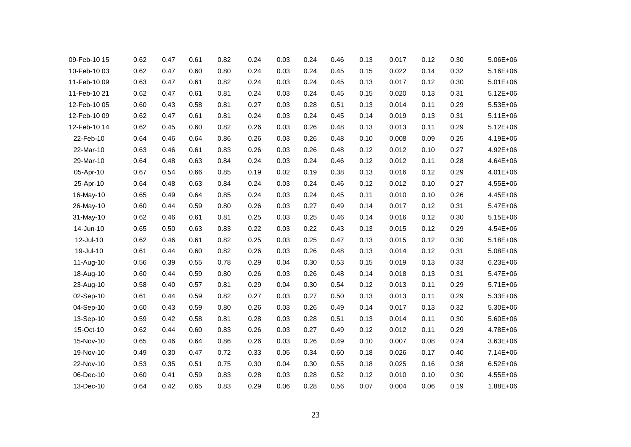| 09-Feb-10 15 | 0.62 | 0.47 | 0.61 | 0.82 | 0.24 | 0.03 | 0.24 | 0.46 | 0.13 | 0.017 | 0.12 | 0.30 | 5.06E+06     |
|--------------|------|------|------|------|------|------|------|------|------|-------|------|------|--------------|
| 10-Feb-10 03 | 0.62 | 0.47 | 0.60 | 0.80 | 0.24 | 0.03 | 0.24 | 0.45 | 0.15 | 0.022 | 0.14 | 0.32 | 5.16E+06     |
| 11-Feb-10 09 | 0.63 | 0.47 | 0.61 | 0.82 | 0.24 | 0.03 | 0.24 | 0.45 | 0.13 | 0.017 | 0.12 | 0.30 | 5.01E+06     |
| 11-Feb-10 21 | 0.62 | 0.47 | 0.61 | 0.81 | 0.24 | 0.03 | 0.24 | 0.45 | 0.15 | 0.020 | 0.13 | 0.31 | $5.12E + 06$ |
| 12-Feb-10 05 | 0.60 | 0.43 | 0.58 | 0.81 | 0.27 | 0.03 | 0.28 | 0.51 | 0.13 | 0.014 | 0.11 | 0.29 | 5.53E+06     |
| 12-Feb-10 09 | 0.62 | 0.47 | 0.61 | 0.81 | 0.24 | 0.03 | 0.24 | 0.45 | 0.14 | 0.019 | 0.13 | 0.31 | $5.11E + 06$ |
| 12-Feb-10 14 | 0.62 | 0.45 | 0.60 | 0.82 | 0.26 | 0.03 | 0.26 | 0.48 | 0.13 | 0.013 | 0.11 | 0.29 | 5.12E+06     |
| 22-Feb-10    | 0.64 | 0.46 | 0.64 | 0.86 | 0.26 | 0.03 | 0.26 | 0.48 | 0.10 | 0.008 | 0.09 | 0.25 | 4.19E+06     |
| 22-Mar-10    | 0.63 | 0.46 | 0.61 | 0.83 | 0.26 | 0.03 | 0.26 | 0.48 | 0.12 | 0.012 | 0.10 | 0.27 | 4.92E+06     |
| 29-Mar-10    | 0.64 | 0.48 | 0.63 | 0.84 | 0.24 | 0.03 | 0.24 | 0.46 | 0.12 | 0.012 | 0.11 | 0.28 | 4.64E+06     |
| 05-Apr-10    | 0.67 | 0.54 | 0.66 | 0.85 | 0.19 | 0.02 | 0.19 | 0.38 | 0.13 | 0.016 | 0.12 | 0.29 | 4.01E+06     |
| 25-Apr-10    | 0.64 | 0.48 | 0.63 | 0.84 | 0.24 | 0.03 | 0.24 | 0.46 | 0.12 | 0.012 | 0.10 | 0.27 | 4.55E+06     |
| 16-May-10    | 0.65 | 0.49 | 0.64 | 0.85 | 0.24 | 0.03 | 0.24 | 0.45 | 0.11 | 0.010 | 0.10 | 0.26 | 4.45E+06     |
| 26-May-10    | 0.60 | 0.44 | 0.59 | 0.80 | 0.26 | 0.03 | 0.27 | 0.49 | 0.14 | 0.017 | 0.12 | 0.31 | 5.47E+06     |
| 31-May-10    | 0.62 | 0.46 | 0.61 | 0.81 | 0.25 | 0.03 | 0.25 | 0.46 | 0.14 | 0.016 | 0.12 | 0.30 | $5.15E + 06$ |
| 14-Jun-10    | 0.65 | 0.50 | 0.63 | 0.83 | 0.22 | 0.03 | 0.22 | 0.43 | 0.13 | 0.015 | 0.12 | 0.29 | 4.54E+06     |
| 12-Jul-10    | 0.62 | 0.46 | 0.61 | 0.82 | 0.25 | 0.03 | 0.25 | 0.47 | 0.13 | 0.015 | 0.12 | 0.30 | 5.18E+06     |
| 19-Jul-10    | 0.61 | 0.44 | 0.60 | 0.82 | 0.26 | 0.03 | 0.26 | 0.48 | 0.13 | 0.014 | 0.12 | 0.31 | 5.08E+06     |
| 11-Aug-10    | 0.56 | 0.39 | 0.55 | 0.78 | 0.29 | 0.04 | 0.30 | 0.53 | 0.15 | 0.019 | 0.13 | 0.33 | $6.23E + 06$ |
| 18-Aug-10    | 0.60 | 0.44 | 0.59 | 0.80 | 0.26 | 0.03 | 0.26 | 0.48 | 0.14 | 0.018 | 0.13 | 0.31 | 5.47E+06     |
| 23-Aug-10    | 0.58 | 0.40 | 0.57 | 0.81 | 0.29 | 0.04 | 0.30 | 0.54 | 0.12 | 0.013 | 0.11 | 0.29 | 5.71E+06     |
| 02-Sep-10    | 0.61 | 0.44 | 0.59 | 0.82 | 0.27 | 0.03 | 0.27 | 0.50 | 0.13 | 0.013 | 0.11 | 0.29 | 5.33E+06     |
| 04-Sep-10    | 0.60 | 0.43 | 0.59 | 0.80 | 0.26 | 0.03 | 0.26 | 0.49 | 0.14 | 0.017 | 0.13 | 0.32 | 5.30E+06     |
| 13-Sep-10    | 0.59 | 0.42 | 0.58 | 0.81 | 0.28 | 0.03 | 0.28 | 0.51 | 0.13 | 0.014 | 0.11 | 0.30 | 5.60E+06     |
| 15-Oct-10    | 0.62 | 0.44 | 0.60 | 0.83 | 0.26 | 0.03 | 0.27 | 0.49 | 0.12 | 0.012 | 0.11 | 0.29 | 4.78E+06     |
| 15-Nov-10    | 0.65 | 0.46 | 0.64 | 0.86 | 0.26 | 0.03 | 0.26 | 0.49 | 0.10 | 0.007 | 0.08 | 0.24 | 3.63E+06     |
| 19-Nov-10    | 0.49 | 0.30 | 0.47 | 0.72 | 0.33 | 0.05 | 0.34 | 0.60 | 0.18 | 0.026 | 0.17 | 0.40 | 7.14E+06     |
| 22-Nov-10    | 0.53 | 0.35 | 0.51 | 0.75 | 0.30 | 0.04 | 0.30 | 0.55 | 0.18 | 0.025 | 0.16 | 0.38 | $6.52E + 06$ |
| 06-Dec-10    | 0.60 | 0.41 | 0.59 | 0.83 | 0.28 | 0.03 | 0.28 | 0.52 | 0.12 | 0.010 | 0.10 | 0.30 | 4.55E+06     |
| 13-Dec-10    | 0.64 | 0.42 | 0.65 | 0.83 | 0.29 | 0.06 | 0.28 | 0.56 | 0.07 | 0.004 | 0.06 | 0.19 | 1.88E+06     |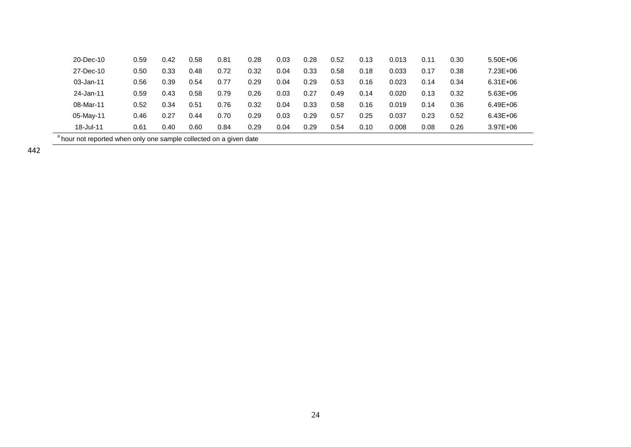| 20-Dec-10                                                        | 0.59 | 0.42 | 0.58 | 0.81 | 0.28 | 0.03 | 0.28 | 0.52 | 0.13 | 0.013 | 0.11 | 0.30 | $5.50E + 06$ |  |
|------------------------------------------------------------------|------|------|------|------|------|------|------|------|------|-------|------|------|--------------|--|
| 27-Dec-10                                                        | 0.50 | 0.33 | 0.48 | 0.72 | 0.32 | 0.04 | 0.33 | 0.58 | 0.18 | 0.033 | 0.17 | 0.38 | 7.23E+06     |  |
| 03-Jan-11                                                        | 0.56 | 0.39 | 0.54 | 0.77 | 0.29 | 0.04 | 0.29 | 0.53 | 0.16 | 0.023 | 0.14 | 0.34 | $6.31E + 06$ |  |
| 24-Jan-11                                                        | 0.59 | 0.43 | 0.58 | 0.79 | 0.26 | 0.03 | 0.27 | 0.49 | 0.14 | 0.020 | 0.13 | 0.32 | $5.63E + 06$ |  |
| 08-Mar-11                                                        | 0.52 | 0.34 | 0.51 | 0.76 | 0.32 | 0.04 | 0.33 | 0.58 | 0.16 | 0.019 | 0.14 | 0.36 | $6.49E + 06$ |  |
| 05-May-11                                                        | 0.46 | 0.27 | 0.44 | 0.70 | 0.29 | 0.03 | 0.29 | 0.57 | 0.25 | 0.037 | 0.23 | 0.52 | $6.43E + 06$ |  |
| 18-Jul-11                                                        | 0.61 | 0.40 | 0.60 | 0.84 | 0.29 | 0.04 | 0.29 | 0.54 | 0.10 | 0.008 | 0.08 | 0.26 | $3.97E + 06$ |  |
| hour not reported when only one sample collected on a given date |      |      |      |      |      |      |      |      |      |       |      |      |              |  |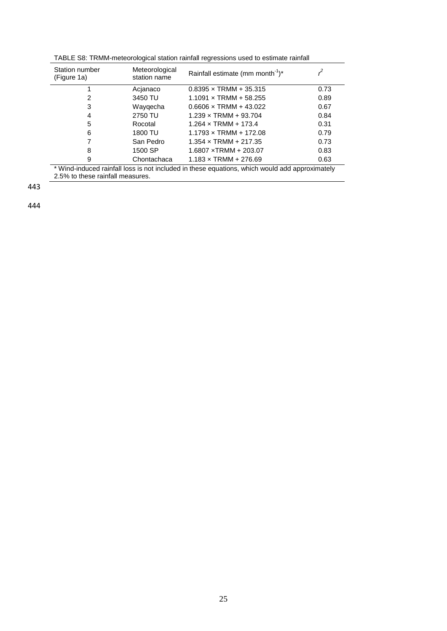TABLE S8: TRMM-meteorological station rainfall regressions used to estimate rainfall

| Station number<br>(Figure 1a)                                                                                                      | Meteorological<br>station name | Rainfall estimate (mm month <sup>-1</sup> )* |      |  |  |  |  |
|------------------------------------------------------------------------------------------------------------------------------------|--------------------------------|----------------------------------------------|------|--|--|--|--|
|                                                                                                                                    | Acjanaco                       | $0.8395 \times \text{TRMM} + 35.315$         | 0.73 |  |  |  |  |
| 2                                                                                                                                  | 3450 TU                        | $1.1091 \times T$ RMM + 58.255               | 0.89 |  |  |  |  |
| 3                                                                                                                                  | Waygecha                       | $0.6606 \times \text{TRMM} + 43.022$         | 0.67 |  |  |  |  |
| 4                                                                                                                                  | 2750 TU                        | $1.239 \times TRMM + 93.704$                 | 0.84 |  |  |  |  |
| 5                                                                                                                                  | Rocotal                        | $1.264 \times \text{TRMM} + 173.4$           | 0.31 |  |  |  |  |
| 6                                                                                                                                  | 1800 TU                        | $1.1793 \times T$ RMM + 172.08               | 0.79 |  |  |  |  |
|                                                                                                                                    | San Pedro                      | $1.354 \times \text{TRMM} + 217.35$          | 0.73 |  |  |  |  |
| 8                                                                                                                                  | 1500 SP                        | $1.6807 \times TRMM + 203.07$                | 0.83 |  |  |  |  |
| 9                                                                                                                                  | Chontachaca                    | $1.183 \times$ TRMM + 276.69                 | 0.63 |  |  |  |  |
| * Wind-induced rainfall loss is not included in these equations, which would add approximately<br>2.5% to these rainfall measures. |                                |                                              |      |  |  |  |  |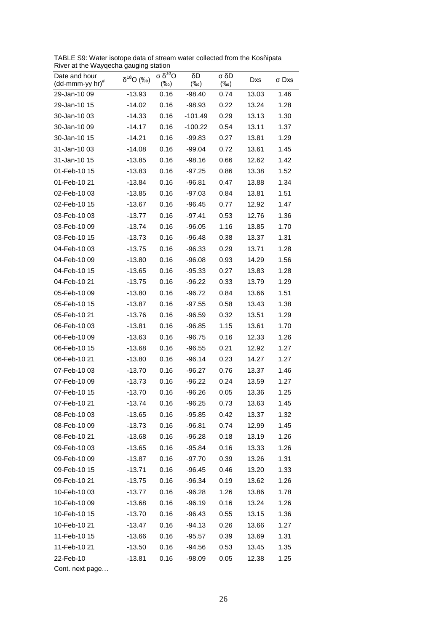TABLE S9: Water isotope data of stream water collected from the Kosñipata River at the Wayqecha gauging station

| Date and hour<br>$(dd\text{-}\text{mmm-}yy$ hr) <sup>#</sup> | $\delta^{18}O$ (‰) | $\sigma$ δ <sup>18</sup> Ο<br>$(\%o)$ | δD<br>$(\%circ)$ | σ δD<br>$(\%o)$ | Dxs   | σ Dxs |
|--------------------------------------------------------------|--------------------|---------------------------------------|------------------|-----------------|-------|-------|
| 29-Jan-10 09                                                 | -13.93             | 0.16                                  | $-98.40$         | 0.74            | 13.03 | 1.46  |
| 29-Jan-10 15                                                 | $-14.02$           | 0.16                                  | $-98.93$         | 0.22            | 13.24 | 1.28  |
| 30-Jan-10 03                                                 | $-14.33$           | 0.16                                  | $-101.49$        | 0.29            | 13.13 | 1.30  |
| 30-Jan-10 09                                                 | $-14.17$           | 0.16                                  | $-100.22$        | 0.54            | 13.11 | 1.37  |
| 30-Jan-10 15                                                 | $-14.21$           | 0.16                                  | $-99.83$         | 0.27            | 13.81 | 1.29  |
| 31-Jan-1003                                                  | $-14.08$           | 0.16                                  | $-99.04$         | 0.72            | 13.61 | 1.45  |
| 31-Jan-10 15                                                 | $-13.85$           | 0.16                                  | $-98.16$         | 0.66            | 12.62 | 1.42  |
| 01-Feb-10 15                                                 | $-13.83$           | 0.16                                  | $-97.25$         | 0.86            | 13.38 | 1.52  |
| 01-Feb-10 21                                                 | $-13.84$           | 0.16                                  | -96.81           | 0.47            | 13.88 | 1.34  |
| 02-Feb-10 03                                                 | $-13.85$           | 0.16                                  | $-97.03$         | 0.84            | 13.81 | 1.51  |
| 02-Feb-10 15                                                 | -13.67             | 0.16                                  | -96.45           | 0.77            | 12.92 | 1.47  |
| 03-Feb-10 03                                                 | $-13.77$           | 0.16                                  | $-97.41$         | 0.53            | 12.76 | 1.36  |
| 03-Feb-10 09                                                 | $-13.74$           | 0.16                                  | $-96.05$         | 1.16            | 13.85 | 1.70  |
| 03-Feb-10 15                                                 | $-13.73$           | 0.16                                  | $-96.48$         | 0.38            | 13.37 | 1.31  |
| 04-Feb-10 03                                                 | $-13.75$           | 0.16                                  | $-96.33$         | 0.29            | 13.71 | 1.28  |
| 04-Feb-10 09                                                 | $-13.80$           | 0.16                                  | $-96.08$         | 0.93            | 14.29 | 1.56  |
| 04-Feb-10 15                                                 | $-13.65$           | 0.16                                  | -95.33           | 0.27            | 13.83 | 1.28  |
| 04-Feb-10 21                                                 | $-13.75$           | 0.16                                  | $-96.22$         | 0.33            | 13.79 | 1.29  |
| 05-Feb-10 09                                                 | $-13.80$           | 0.16                                  | $-96.72$         | 0.84            | 13.66 | 1.51  |
| 05-Feb-10 15                                                 | $-13.87$           | 0.16                                  | $-97.55$         | 0.58            | 13.43 | 1.38  |
| 05-Feb-10 21                                                 | $-13.76$           | 0.16                                  | $-96.59$         | 0.32            | 13.51 | 1.29  |
| 06-Feb-10 03                                                 | $-13.81$           | 0.16                                  | $-96.85$         | 1.15            | 13.61 | 1.70  |
| 06-Feb-10 09                                                 | $-13.63$           | 0.16                                  | $-96.75$         | 0.16            | 12.33 | 1.26  |
| 06-Feb-10 15                                                 | $-13.68$           | 0.16                                  | $-96.55$         | 0.21            | 12.92 | 1.27  |
| 06-Feb-10 21                                                 | $-13.80$           | 0.16                                  | $-96.14$         | 0.23            | 14.27 | 1.27  |
| 07-Feb-10 03                                                 | $-13.70$           | 0.16                                  | -96.27           | 0.76            | 13.37 | 1.46  |
| 07-Feb-10 09                                                 | -13.73             | 0.16                                  | $-96.22$         | 0.24            | 13.59 | 1.27  |
| 07-Feb-10 15                                                 | $-13.70$           | 0.16                                  | $-96.26$         | 0.05            | 13.36 | 1.25  |
| 07-Feb-10 21                                                 | $-13.74$           | 0.16                                  | $-96.25$         | 0.73            | 13.63 | 1.45  |
| 08-Feb-10 03                                                 | $-13.65$           | 0.16                                  | $-95.85$         | 0.42            | 13.37 | 1.32  |
| 08-Feb-10 09                                                 | $-13.73$           | 0.16                                  | $-96.81$         | 0.74            | 12.99 | 1.45  |
| 08-Feb-10 21                                                 | $-13.68$           | 0.16                                  | $-96.28$         | 0.18            | 13.19 | 1.26  |
| 09-Feb-10 03                                                 | $-13.65$           | 0.16                                  | $-95.84$         | 0.16            | 13.33 | 1.26  |
| 09-Feb-10 09                                                 | $-13.87$           | 0.16                                  | $-97.70$         | 0.39            | 13.26 | 1.31  |
| 09-Feb-10 15                                                 | $-13.71$           | 0.16                                  | $-96.45$         | 0.46            | 13.20 | 1.33  |
| 09-Feb-10 21                                                 | $-13.75$           | 0.16                                  | $-96.34$         | 0.19            | 13.62 | 1.26  |
| 10-Feb-10 03                                                 | $-13.77$           | 0.16                                  | $-96.28$         | 1.26            | 13.86 | 1.78  |
| 10-Feb-10 09                                                 | $-13.68$           | 0.16                                  | $-96.19$         | 0.16            | 13.24 | 1.26  |
| 10-Feb-10 15                                                 | $-13.70$           | 0.16                                  | $-96.43$         | 0.55            | 13.15 | 1.36  |
| 10-Feb-10 21                                                 | -13.47             | 0.16                                  | $-94.13$         | 0.26            | 13.66 | 1.27  |
| 11-Feb-10 15                                                 | $-13.66$           | 0.16                                  | $-95.57$         | 0.39            | 13.69 | 1.31  |
| 11-Feb-10 21                                                 | $-13.50$           | 0.16                                  | $-94.56$         | 0.53            | 13.45 | 1.35  |
| 22-Feb-10                                                    | $-13.81$           | 0.16                                  | -98.09           | 0.05            | 12.38 | 1.25  |
| Cont. next page                                              |                    |                                       |                  |                 |       |       |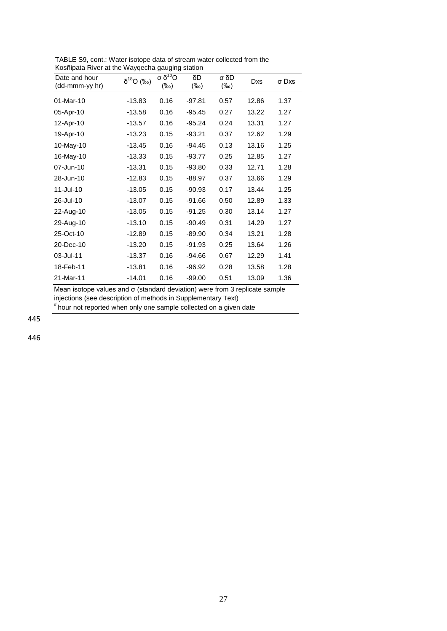| 01-Mar-10<br>0.16<br>$-13.83$<br>$-97.81$<br>0.57<br>12.86<br>1.37<br>0.16<br>13.22<br>$-13.58$<br>$-95.45$<br>0.27<br>1.27<br>05-Apr-10<br>0.16<br>13.31<br>1.27<br>$-13.57$<br>$-95.24$<br>0.24<br>12-Apr-10<br>0.37<br>1.29<br>$-13.23$<br>0.15<br>$-93.21$<br>12.62<br>19-Apr-10<br>0.16<br>0.13<br>13.16<br>1.25<br>10-May-10<br>$-13.45$<br>$-94.45$<br>16-May-10<br>$-13.33$<br>0.15<br>0.25<br>12.85<br>1.27<br>-93.77<br>$-13.31$<br>0.15<br>$-93.80$<br>0.33<br>1.28<br>07-Jun-10<br>12.71<br>13.66<br>28-Jun-10<br>$-12.83$<br>0.15<br>$-88.97$<br>0.37<br>1.29<br>11-Jul-10<br>1.25<br>$-13.05$<br>0.15<br>$-90.93$<br>0.17<br>13.44<br>0.15<br>$-91.66$<br>1.33<br>26-Jul-10<br>$-13.07$<br>0.50<br>12.89<br>0.15<br>1.27<br>$-13.05$<br>$-91.25$<br>0.30<br>13.14<br>22-Aug-10<br>0.15<br>1.27<br>$-13.10$<br>$-90.49$<br>0.31<br>14.29<br>29-Aug-10<br>1.28<br>25-Oct-10<br>$-12.89$<br>0.15<br>$-89.90$<br>0.34<br>13.21<br>20-Dec-10<br>0.15<br>$-91.93$<br>0.25<br>13.64<br>1.26<br>$-13.20$<br>03-Jul-11<br>0.16<br>0.67<br>12.29<br>1.41<br>-13.37<br>-94.66<br>0.16<br>1.28<br>18-Feb-11<br>$-13.81$<br>$-96.92$<br>0.28<br>13.58 | Date and hour<br>(dd-mmm-yy hr) | $\delta^{18}O$ (‰) | σ $\delta^{18}$ Ο<br>$(\%0)$ | δD<br>$(\%o)$ | σ δD<br>$(\%circ)$ | Dxs | σ Dxs |
|--------------------------------------------------------------------------------------------------------------------------------------------------------------------------------------------------------------------------------------------------------------------------------------------------------------------------------------------------------------------------------------------------------------------------------------------------------------------------------------------------------------------------------------------------------------------------------------------------------------------------------------------------------------------------------------------------------------------------------------------------------------------------------------------------------------------------------------------------------------------------------------------------------------------------------------------------------------------------------------------------------------------------------------------------------------------------------------------------------------------------------------------------------|---------------------------------|--------------------|------------------------------|---------------|--------------------|-----|-------|
|                                                                                                                                                                                                                                                                                                                                                                                                                                                                                                                                                                                                                                                                                                                                                                                                                                                                                                                                                                                                                                                                                                                                                        |                                 |                    |                              |               |                    |     |       |
|                                                                                                                                                                                                                                                                                                                                                                                                                                                                                                                                                                                                                                                                                                                                                                                                                                                                                                                                                                                                                                                                                                                                                        |                                 |                    |                              |               |                    |     |       |
|                                                                                                                                                                                                                                                                                                                                                                                                                                                                                                                                                                                                                                                                                                                                                                                                                                                                                                                                                                                                                                                                                                                                                        |                                 |                    |                              |               |                    |     |       |
|                                                                                                                                                                                                                                                                                                                                                                                                                                                                                                                                                                                                                                                                                                                                                                                                                                                                                                                                                                                                                                                                                                                                                        |                                 |                    |                              |               |                    |     |       |
|                                                                                                                                                                                                                                                                                                                                                                                                                                                                                                                                                                                                                                                                                                                                                                                                                                                                                                                                                                                                                                                                                                                                                        |                                 |                    |                              |               |                    |     |       |
|                                                                                                                                                                                                                                                                                                                                                                                                                                                                                                                                                                                                                                                                                                                                                                                                                                                                                                                                                                                                                                                                                                                                                        |                                 |                    |                              |               |                    |     |       |
|                                                                                                                                                                                                                                                                                                                                                                                                                                                                                                                                                                                                                                                                                                                                                                                                                                                                                                                                                                                                                                                                                                                                                        |                                 |                    |                              |               |                    |     |       |
|                                                                                                                                                                                                                                                                                                                                                                                                                                                                                                                                                                                                                                                                                                                                                                                                                                                                                                                                                                                                                                                                                                                                                        |                                 |                    |                              |               |                    |     |       |
|                                                                                                                                                                                                                                                                                                                                                                                                                                                                                                                                                                                                                                                                                                                                                                                                                                                                                                                                                                                                                                                                                                                                                        |                                 |                    |                              |               |                    |     |       |
|                                                                                                                                                                                                                                                                                                                                                                                                                                                                                                                                                                                                                                                                                                                                                                                                                                                                                                                                                                                                                                                                                                                                                        |                                 |                    |                              |               |                    |     |       |
|                                                                                                                                                                                                                                                                                                                                                                                                                                                                                                                                                                                                                                                                                                                                                                                                                                                                                                                                                                                                                                                                                                                                                        |                                 |                    |                              |               |                    |     |       |
|                                                                                                                                                                                                                                                                                                                                                                                                                                                                                                                                                                                                                                                                                                                                                                                                                                                                                                                                                                                                                                                                                                                                                        |                                 |                    |                              |               |                    |     |       |
|                                                                                                                                                                                                                                                                                                                                                                                                                                                                                                                                                                                                                                                                                                                                                                                                                                                                                                                                                                                                                                                                                                                                                        |                                 |                    |                              |               |                    |     |       |
|                                                                                                                                                                                                                                                                                                                                                                                                                                                                                                                                                                                                                                                                                                                                                                                                                                                                                                                                                                                                                                                                                                                                                        |                                 |                    |                              |               |                    |     |       |
|                                                                                                                                                                                                                                                                                                                                                                                                                                                                                                                                                                                                                                                                                                                                                                                                                                                                                                                                                                                                                                                                                                                                                        |                                 |                    |                              |               |                    |     |       |
|                                                                                                                                                                                                                                                                                                                                                                                                                                                                                                                                                                                                                                                                                                                                                                                                                                                                                                                                                                                                                                                                                                                                                        |                                 |                    |                              |               |                    |     |       |
| 21-Mar-11<br>$-14.01$<br>0.16<br>$-99.00$<br>13.09<br>1.36<br>0.51                                                                                                                                                                                                                                                                                                                                                                                                                                                                                                                                                                                                                                                                                                                                                                                                                                                                                                                                                                                                                                                                                     |                                 |                    |                              |               |                    |     |       |

TABLE S9, cont.: Water isotope data of stream water collected from the Kosñipata River at the Wayqecha gauging station

Mean isotope values and σ (standard deviation) were from 3 replicate sample injections (see description of methods in Supplementary Text) # hour not reported when only one sample collected on a given date

445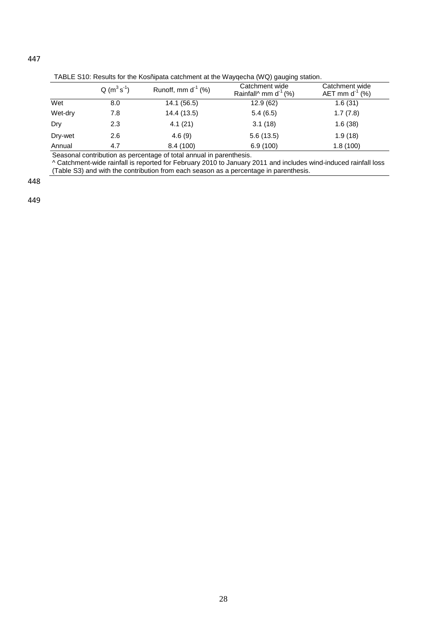|  |  |  | TABLE S10: Results for the Kosñipata catchment at the Wayqecha (WQ) gauging station. |
|--|--|--|--------------------------------------------------------------------------------------|
|  |  |  |                                                                                      |

|         | $Q(m^3s^{-1})$ | Runoff, mm $d^{-1}$ (%) | Catchment wide<br>Rainfall <sup><math>\land</math></sup> mm d <sup>-1</sup> (%) | Catchment wide<br>AET mm $d^1$ (%) |
|---------|----------------|-------------------------|---------------------------------------------------------------------------------|------------------------------------|
| Wet     | 8.0            | 14.1 (56.5)             | 12.9(62)                                                                        | 1.6(31)                            |
| Wet-dry | 7.8            | 14.4 (13.5)             | 5.4(6.5)                                                                        | 1.7(7.8)                           |
| Dry     | 2.3            | 4.1(21)                 | 3.1(18)                                                                         | 1.6(38)                            |
| Dry-wet | 2.6            | 4.6(9)                  | 5.6(13.5)                                                                       | 1.9(18)                            |
| Annual  | 4.7            | 8.4 (100)               | 6.9(100)                                                                        | 1.8(100)                           |

Seasonal contribution as percentage of total annual in parenthesis.

^ Catchment-wide rainfall is reported for February 2010 to January 2011 and includes wind-induced rainfall loss (Table S3) and with the contribution from each season as a percentage in parenthesis.

448